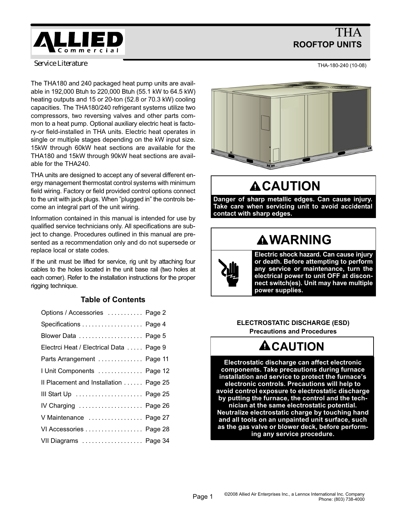# THA ROOFTOP UNITS

<span id="page-0-0"></span>*Service Literature*

The THA180 and 240 packaged heat pump units are available in 192,000 Btuh to 220,000 Btuh (55.1 kW to 64.5 kW) heating outputs and 15 or 20−ton (52.8 or 70.3 kW) cooling capacities. The THA180/240 refrigerant systems utilize two compressors, two reversing valves and other parts common to a heat pump. Optional auxiliary electric heat is factory−or field−installed in THA units. Electric heat operates in single or multiple stages depending on the kW input size. 15kW through 60kW heat sections are available for the THA180 and 15kW through 90kW heat sections are available for the THA240.

THA units are designed to accept any of several different energy management thermostat control systems with minimum field wiring. Factory or field provided control options connect to the unit with jack plugs. When "plugged in" the controls become an integral part of the unit wiring.

Information contained in this manual is intended for use by qualified service technicians only. All specifications are subject to change. Procedures outlined in this manual are presented as a recommendation only and do not supersede or replace local or state codes.

If the unit must be lifted for service, rig unit by attaching four cables to the holes located in the unit base rail (two holes at each corner). Refer to the installation instructions for the proper rigging technique.

# Table of Contents

| Options / Accessories  Page 2           |  |
|-----------------------------------------|--|
| Specifications Page 4                   |  |
|                                         |  |
| Electrci Heat / Electrical Data  Page 9 |  |
| Parts Arrangement  Page 11              |  |
| I Unit Components  Page 12              |  |
| Il Placement and Installation Page 25   |  |
| III Start Up  Page 25                   |  |
| IV Charging  Page 26                    |  |
| V Maintenance  Page 27                  |  |
| VI Accessories Page 28                  |  |
| VII Diagrams  Page 34                   |  |
|                                         |  |



# **ACAUTION**

Danger of sharp metallic edges. Can cause injury. Take care when servicing unit to avoid accidental contact with sharp edges.

# **AWARNING**



ELECTROSTATIC DISCHARGE (ESD) Precautions and Procedures

# **ACAUTION**

Electrostatic discharge can affect electronic components. Take precautions during furnace installation and service to protect the furnace's electronic controls. Precautions will help to avoid control exposure to electrostatic discharge by putting the furnace, the control and the technician at the same electrostatic potential. Neutralize electrostatic charge by touching hand and all tools on an unpainted unit surface, such as the gas valve or blower deck, before performing any service procedure.

THA−180−240 (10−08)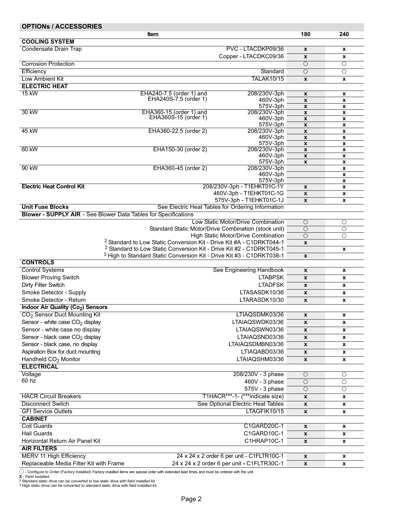<span id="page-1-0"></span>

| <b>OPTIONS / ACCESSORIES</b>                |                                                                                  |                                                      |                                          |                                          |
|---------------------------------------------|----------------------------------------------------------------------------------|------------------------------------------------------|------------------------------------------|------------------------------------------|
|                                             | <b>Item</b>                                                                      |                                                      | 180                                      | 240                                      |
| <b>COOLING SYSTEM</b>                       |                                                                                  |                                                      |                                          |                                          |
| Condensate Drain Trap                       |                                                                                  | PVC - LTACDKP09/36<br>Copper - LTACDKC09/36          | $\pmb{\chi}$                             | X                                        |
| <b>Corrosion Protection</b>                 |                                                                                  |                                                      | $\pmb{\mathsf{x}}$<br>$\circ$            | x<br>$\circ$                             |
| Efficiency                                  |                                                                                  | Standard                                             | $\circ$                                  | $\bigcirc$                               |
| Low Ambient Kit                             |                                                                                  | <b>TALAK10/15</b>                                    | $\pmb{\chi}$                             | $\pmb{\mathsf{x}}$                       |
| <b>ELECTRIC HEAT</b>                        |                                                                                  |                                                      |                                          |                                          |
| 15 kW                                       | EHA240-7.5 (order 1) and                                                         | 208/230V-3ph                                         | $\pmb{\mathsf{x}}$                       | x                                        |
|                                             | EHA240S-7.5 (order 1)                                                            | 460V-3ph                                             | $\boldsymbol{\mathsf{x}}$                | $\pmb{\mathsf{x}}$                       |
|                                             |                                                                                  | 575V-3ph                                             | $\pmb{\mathsf{x}}$                       | x                                        |
| 30 kW                                       | EHA360-15 (order 1) and<br>EHA360S-15 (order 1)                                  | 208/230V-3ph                                         | $\boldsymbol{\mathsf{x}}$                | $\boldsymbol{\mathsf{x}}$                |
|                                             |                                                                                  | 460V-3ph<br>575V-3ph                                 | $\pmb{\chi}$<br>$\pmb{\chi}$             | $\pmb{\mathsf{x}}$<br>$\pmb{\mathsf{x}}$ |
| 45 kW                                       | EHA360-22.5 (order 2)                                                            | 208/230V-3ph                                         | $\pmb{\chi}$                             | $\pmb{\mathsf{x}}$                       |
|                                             |                                                                                  | 460V-3ph                                             | $\pmb{\mathsf{x}}$                       | x                                        |
|                                             |                                                                                  | 575V-3ph                                             | $\boldsymbol{\mathsf{x}}$                | $\pmb{\mathsf{x}}$                       |
| 60 kW                                       | EHA150-30 (order 2)                                                              | 208/230V-3ph                                         | $\pmb{\mathsf{x}}$                       | $\pmb{\mathsf{x}}$                       |
|                                             |                                                                                  | 460V-3ph<br>575V-3ph                                 | $\pmb{\mathsf{x}}$<br>$\pmb{\mathsf{x}}$ | $\pmb{\mathsf{x}}$<br>$\pmb{\mathsf{x}}$ |
| 90 kW                                       | EHA360-45 (order 2)                                                              | 208/230V-3ph                                         |                                          | x                                        |
|                                             |                                                                                  | 460V-3ph                                             |                                          | $\boldsymbol{\mathsf{x}}$                |
|                                             |                                                                                  | 575V-3ph                                             |                                          | X                                        |
| <b>Electric Heat Control Kit</b>            |                                                                                  | 208/230V-3ph - T1EHKT01C-1Y                          | $\pmb{\chi}$                             | X                                        |
|                                             |                                                                                  | 460V-3ph - T1EHKT01C-1G<br>575V-3ph - T1EHKT01C-1J   | $\pmb{\mathsf{x}}$                       | X                                        |
| <b>Unit Fuse Blocks</b>                     |                                                                                  | See Electric Heat Tables for Ordering Information    | $\pmb{\chi}$                             | X                                        |
|                                             | <b>Blower - SUPPLY AIR</b> - See Blower Data Tables for Specifications           |                                                      |                                          |                                          |
|                                             |                                                                                  | Low Static Motor/Drive Combination                   | $\circ$                                  | $\circ$                                  |
|                                             |                                                                                  | Standard Static Motor/Drive Combination (stock unit) | $\circ$                                  | $\overline{O}$                           |
|                                             |                                                                                  | High Static Motor/Drive Combination                  | $\overline{O}$                           | $\overline{O}$                           |
|                                             | <sup>2</sup> Standard to Low Static Conversion Kit - Drive Kit #A - C1DRKT044-1  |                                                      | $\pmb{\chi}$                             |                                          |
|                                             | <sup>2</sup> Standard to Low Static Conversion Kit - Drive Kit #2 - C1DRKT045-1  |                                                      |                                          | X                                        |
|                                             | <sup>3</sup> High to Standard Static Conversion Kit - Drive Kit #3 - C1DRKT038-1 |                                                      | $\pmb{\chi}$                             |                                          |
| <b>CONTROLS</b>                             |                                                                                  |                                                      |                                          |                                          |
| <b>Control Systems</b>                      |                                                                                  | See Engineering Handbook                             | $\pmb{\chi}$                             | x                                        |
| <b>Blower Proving Switch</b>                |                                                                                  | <b>LTABPSK</b>                                       | $\pmb{\chi}$                             | X                                        |
| Dirty Filter Switch                         |                                                                                  | <b>LTADFSK</b>                                       | $\pmb{\chi}$                             | x                                        |
| Smoke Detector - Supply                     |                                                                                  | LTASASDK10/36                                        | $\pmb{\mathsf{x}}$                       | x                                        |
| Smoke Detector - Return                     |                                                                                  | LTARASDK10/30                                        | $\pmb{\chi}$                             | x                                        |
| <b>Indoor Air Quality (Co2) Sensors</b>     |                                                                                  |                                                      |                                          |                                          |
| CO <sub>2</sub> Sensor Duct Mounting Kit    |                                                                                  | LTIAQSDMK03/36                                       | x                                        | x                                        |
| Sensor - white case CO <sub>2</sub> display |                                                                                  | LTAIAQSWDK03/36                                      | $\boldsymbol{x}$                         | X                                        |
| Sensor - white case no display              |                                                                                  | LTAIAQSWN03/36                                       | $\boldsymbol{x}$                         | X                                        |
| Sensor - black case CO <sub>2</sub> display |                                                                                  | LTAIAQSND03/36                                       | $\pmb{\mathsf{x}}$                       | $\pmb{\mathsf{x}}$                       |
| Sensor - black case, no display             |                                                                                  | LTAIAQSDMBN03/36                                     | X                                        | X                                        |
| Aspiration Box for duct mounting            |                                                                                  | LTIAQABD03/36                                        | $\pmb{\chi}$                             | x                                        |
| Handheld CO <sub>2</sub> Monitor            |                                                                                  | LTAIAQSHM03/36                                       | $\pmb{\chi}$                             | X                                        |
| <b>ELECTRICAL</b>                           |                                                                                  |                                                      |                                          |                                          |
| Voltage                                     |                                                                                  | 208/230V - 3 phase                                   | $\circ$                                  | $\circ$                                  |
| 60 hz                                       |                                                                                  | 460V - 3 phase                                       | $\circ$                                  | $\circ$                                  |
|                                             |                                                                                  | 575V - 3 phase                                       | $\circ$                                  | $\circ$                                  |
| <b>HACR Circuit Breakers</b>                |                                                                                  | T1HACR***-1- (***indicate size)                      | $\pmb{\mathsf{x}}$                       | x                                        |
| <b>Disconnect Switch</b>                    |                                                                                  | See Optional Electric Heat Tables                    | X                                        | x                                        |
| <b>GFI Service Outlets</b>                  |                                                                                  | LTAGFIK10/15                                         | $\pmb{\mathsf{x}}$                       | X                                        |
| <b>CABINET</b>                              |                                                                                  |                                                      |                                          |                                          |
| <b>Coil Guards</b>                          |                                                                                  | C1GARD20C-1                                          | $\pmb{\chi}$                             | x                                        |
| <b>Hail Guards</b>                          |                                                                                  | C1GARD10C-1                                          | $\pmb{\mathsf{x}}$                       | $\pmb{\mathsf{x}}$                       |
| Horizontal Return Air Panel Kit             |                                                                                  | C1HRAP10C-1                                          | $\pmb{\chi}$                             | x                                        |
| <b>AIR FILTERS</b>                          |                                                                                  |                                                      |                                          |                                          |
| <b>MERV 11 High Efficiency</b>              |                                                                                  | 24 x 24 x 2 order 6 per unit - C1FLTR10C-1           | $\mathbf{x}$                             | $\pmb{\mathsf{x}}$                       |
| Replaceable Media Filter Kit with Frame     |                                                                                  | 24 x 24 x 2 order 6 per unit - C1FLTR30C-1           | $\pmb{\chi}$                             | X                                        |

◯ - Configure to Order (Factory Installed) Factory installed items are special order with extended lead times and must be ordered with the unit.<br>X - Field Installed.<br><sup>2</sup> Standard static drive can be converted to low stati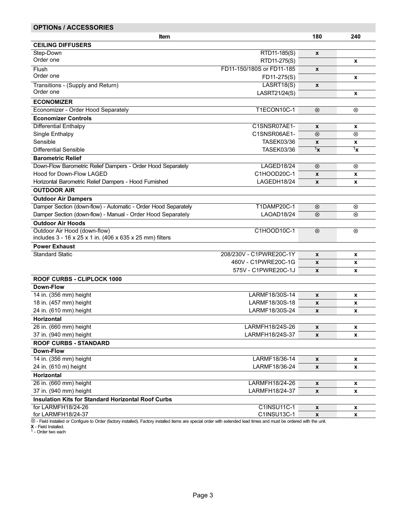| <b>OPTIONS / ACCESSORIES</b>                                                                 |                           |                    |                           |
|----------------------------------------------------------------------------------------------|---------------------------|--------------------|---------------------------|
| ltem                                                                                         |                           | 180                | 240                       |
| <b>CEILING DIFFUSERS</b>                                                                     |                           |                    |                           |
| Step-Down                                                                                    | RTD11-185(S)              | X                  |                           |
| Order one                                                                                    | RTD11-275(S)              |                    | $\mathbf{x}$              |
| Flush                                                                                        | FD11-150/180S or FD11-185 | X                  |                           |
| Order one                                                                                    | FD11-275(S)               |                    | X                         |
| Transitions - (Supply and Return)                                                            | LASRT18(S)                | X                  |                           |
| Order one                                                                                    | LASRT21/24(S)             |                    | X                         |
| <b>ECONOMIZER</b>                                                                            |                           |                    |                           |
| Economizer - Order Hood Separately                                                           | <b>T1ECON10C-1</b>        | $\otimes$          | ⊗                         |
| <b>Economizer Controls</b>                                                                   |                           |                    |                           |
| <b>Differential Enthalpy</b>                                                                 | C1SNSR07AE1-              | X                  | x                         |
| Single Enthalpy                                                                              | C1SNSR06AE1-              | $\circledR$        | $\circledR$               |
| Sensible                                                                                     | <b>TASEK03/36</b>         | X                  | $\pmb{\mathsf{x}}$        |
| Differential Sensible                                                                        | <b>TASEK03/36</b>         | $1_{\mathbf{X}}$   | $\mathbf{1}_{\mathbf{X}}$ |
| <b>Barometric Relief</b>                                                                     |                           |                    |                           |
| Down-Flow Barometric Relief Dampers - Order Hood Separately                                  | LAGED18/24                | $\otimes$          | $^{\circledR}$            |
| Hood for Down-Flow LAGED                                                                     | C1HOOD20C-1               | $\pmb{\mathsf{x}}$ |                           |
| Horizontal Barometric Relief Dampers - Hood Furnished                                        | LAGEDH18/24               | X                  | X<br>x                    |
| <b>OUTDOOR AIR</b>                                                                           |                           |                    |                           |
|                                                                                              |                           |                    |                           |
| <b>Outdoor Air Dampers</b><br>Damper Section (down-flow) - Automatic - Order Hood Separately | <b>T1DAMP20C-1</b>        |                    |                           |
|                                                                                              |                           | $\circledR$        | $^{\circledR}$            |
| Damper Section (down-flow) - Manual - Order Hood Separately                                  | LAOAD18/24                | $\otimes$          | $^{\circledR}$            |
| <b>Outdoor Air Hoods</b>                                                                     |                           |                    |                           |
| Outdoor Air Hood (down-flow)<br>includes 3 - 16 x 25 x 1 in. (406 x 635 x 25 mm) filters     | C1HOOD10C-1               | $\otimes$          | $^{\circ}$                |
| <b>Power Exhaust</b>                                                                         |                           |                    |                           |
| <b>Standard Static</b>                                                                       | 208/230V - C1PWRE20C-1Y   | $\pmb{\mathsf{x}}$ | x                         |
|                                                                                              | 460V - C1PWRE20C-1G       | X                  | x                         |
|                                                                                              | 575V - C1PWRE20C-1J       | X                  | X                         |
| <b>ROOF CURBS - CLIPLOCK 1000</b>                                                            |                           |                    |                           |
| Down-Flow                                                                                    |                           |                    |                           |
| 14 in. (356 mm) height                                                                       | LARMF18/30S-14            | X                  | X                         |
| 18 in. (457 mm) height                                                                       | LARMF18/30S-18            | X                  | x                         |
| 24 in. (610 mm) height                                                                       | LARMF18/30S-24            | X                  | X                         |
| Horizontal                                                                                   |                           |                    |                           |
| 26 in. (660 mm) height                                                                       | LARMFH18/24S-26           | $\mathbf{x}$       | $\pmb{\mathsf{x}}$        |
| 37 in. (940 mm) height                                                                       | LARMFH18/24S-37           | X                  | x                         |
| <b>ROOF CURBS - STANDARD</b>                                                                 |                           |                    |                           |
| <b>Down-Flow</b>                                                                             |                           |                    |                           |
| 14 in. (356 mm) height                                                                       | LARMF18/36-14             | X                  | x                         |
| 24 in. (610 m) height                                                                        | LARMF18/36-24             | X                  | x                         |
| <b>Horizontal</b>                                                                            |                           |                    |                           |
| 26 in. (660 mm) height                                                                       | LARMFH18/24-26            | X                  | X                         |
| 37 in. (940 mm) height                                                                       | LARMFH18/24-37            | X                  | X                         |
| <b>Insulation Kits for Standard Horizontal Roof Curbs</b>                                    |                           |                    |                           |
| for LARMFH18/24-26                                                                           | C1INSU11C-1               | X                  | x                         |
| for LARMFH18/24-37                                                                           | C1INSU13C-1               | $\pmb{\mathsf{x}}$ | $\mathbf x$               |

⊗ - Field Installed or Configure to Order (factory installed). Factory installed items are special order with extended lead times and must be ordered with the unit.<br>**X** - Field Installed.<br><sup>1</sup> - Order two each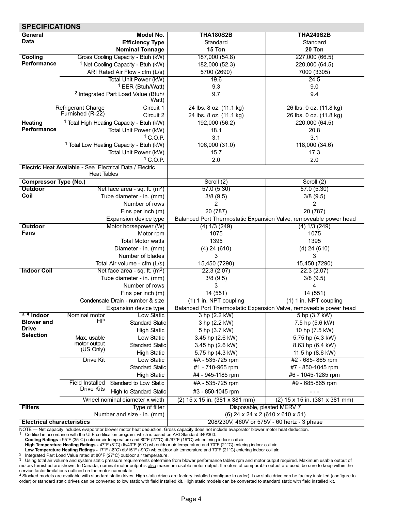<span id="page-3-0"></span>

| <b>SPECIFICATIONS</b>             |                                                                 |                                                      |                                                                                                    |                                                                   |  |  |  |
|-----------------------------------|-----------------------------------------------------------------|------------------------------------------------------|----------------------------------------------------------------------------------------------------|-------------------------------------------------------------------|--|--|--|
| General                           |                                                                 | <b>Model No.</b>                                     | <b>THA180S2B</b>                                                                                   | <b>THA240S2B</b>                                                  |  |  |  |
| <b>Data</b>                       |                                                                 | <b>Efficiency Type</b>                               | Standard                                                                                           | Standard                                                          |  |  |  |
|                                   |                                                                 | <b>Nominal Tonnage</b>                               | 15 Ton                                                                                             | 20 Ton                                                            |  |  |  |
| Cooling                           |                                                                 | Gross Cooling Capacity - Btuh (kW)                   | 187,000 (54.8)                                                                                     | 227,000 (66.5)                                                    |  |  |  |
| Performance                       |                                                                 | <sup>1</sup> Net Cooling Capacity - Btuh (kW)        | 182,000 (52.3)                                                                                     | 220,000 (64.5)                                                    |  |  |  |
|                                   |                                                                 | ARI Rated Air Flow - cfm (L/s)                       | 5700 (2690)                                                                                        | 7000 (3305)                                                       |  |  |  |
|                                   |                                                                 | <b>Total Unit Power (kW)</b>                         | 19.6                                                                                               | 24.5                                                              |  |  |  |
|                                   |                                                                 | <sup>1</sup> EER (Btuh/Watt)                         | 9.3                                                                                                | 9.0                                                               |  |  |  |
|                                   |                                                                 | <sup>2</sup> Integrated Part Load Value (Btuh/       | 9.7                                                                                                | 9.4                                                               |  |  |  |
|                                   |                                                                 | Watt)                                                |                                                                                                    |                                                                   |  |  |  |
|                                   | Refrigerant Charge                                              | Circuit 1                                            | 24 lbs. 8 oz. (11.1 kg)                                                                            | 26 lbs. 0 oz. (11.8 kg)                                           |  |  |  |
|                                   | Furnished (R-22)                                                | Circuit 2                                            | 24 lbs. 8 oz. (11.1 kg)                                                                            | 26 lbs. 0 oz. (11.8 kg)                                           |  |  |  |
| <b>Heating</b>                    |                                                                 | <sup>1</sup> Total High Heating Capacity - Btuh (kW) | 192,000 (56.2)                                                                                     | 220,000 (64.5)                                                    |  |  |  |
| Performance                       |                                                                 | Total Unit Power (kW)                                | 18.1                                                                                               | 20.8                                                              |  |  |  |
|                                   |                                                                 | $1^{\circ}$ C.O.P.                                   | 3.1                                                                                                | 3.1                                                               |  |  |  |
|                                   |                                                                 | <sup>1</sup> Total Low Heating Capacity - Btuh (kW)  | 106,000 (31.0)                                                                                     | 118,000 (34.6)                                                    |  |  |  |
|                                   |                                                                 | Total Unit Power (kW)                                | 15.7                                                                                               | 17.3                                                              |  |  |  |
|                                   |                                                                 | $1$ C.O.P.                                           | 2.0                                                                                                | 2.0                                                               |  |  |  |
|                                   | <b>Electric Heat Available - See Electrical Data / Electric</b> |                                                      |                                                                                                    |                                                                   |  |  |  |
|                                   | <b>Heat Tables</b>                                              |                                                      |                                                                                                    |                                                                   |  |  |  |
| <b>Compressor Type (No.)</b>      |                                                                 |                                                      | Scroll (2)                                                                                         | Scroll (2)                                                        |  |  |  |
| <b>Outdoor</b>                    |                                                                 | Net face area - sq. ft. $(m^2)$                      | 57.0(5.30)                                                                                         | 57.0(5.30)                                                        |  |  |  |
| Coil                              |                                                                 | Tube diameter - in. (mm)                             | 3/8(9.5)                                                                                           | 3/8(9.5)                                                          |  |  |  |
|                                   |                                                                 | Number of rows                                       | 2                                                                                                  | 2                                                                 |  |  |  |
|                                   |                                                                 | Fins per inch (m)                                    | 20 (787)                                                                                           | 20 (787)                                                          |  |  |  |
|                                   |                                                                 | Expansion device type                                |                                                                                                    | Balanced Port Thermostatic Expansion Valve, removeable power head |  |  |  |
| Outdoor                           |                                                                 | Motor horsepower (W)                                 | $(4)$ 1/3 $(249)$                                                                                  | (4) 1/3 (249)                                                     |  |  |  |
| Fans                              |                                                                 | Motor rpm                                            | 1075                                                                                               | 1075                                                              |  |  |  |
|                                   |                                                                 | <b>Total Motor watts</b>                             | 1395                                                                                               | 1395                                                              |  |  |  |
|                                   |                                                                 | Diameter - in. (mm)                                  | $(4)$ 24 $(610)$                                                                                   | $(4)$ 24 $(610)$                                                  |  |  |  |
|                                   |                                                                 | Number of blades                                     | 3                                                                                                  | 3                                                                 |  |  |  |
|                                   |                                                                 | Total Air volume - cfm (L/s)                         | 15,450 (7290)                                                                                      | 15,450 (7290)                                                     |  |  |  |
| <b>Indoor Coil</b>                |                                                                 | Net face area - sq. ft. $(m^2)$                      | 22.3(2.07)                                                                                         | 22.3(2.07)                                                        |  |  |  |
|                                   |                                                                 | Tube diameter - in. (mm)                             | 3/8(9.5)                                                                                           | 3/8(9.5)                                                          |  |  |  |
|                                   |                                                                 | Number of rows                                       | 3                                                                                                  | 4                                                                 |  |  |  |
|                                   |                                                                 | Fins per inch (m)                                    | 14 (551)                                                                                           | 14 (551)                                                          |  |  |  |
|                                   |                                                                 | Condensate Drain - number & size                     | (1) 1 in. NPT coupling                                                                             | (1) 1 in. NPT coupling                                            |  |  |  |
|                                   |                                                                 | Expansion device type                                |                                                                                                    | Balanced Port Thermostatic Expansion Valve, removeable power head |  |  |  |
| $3, 4$ Indoor                     | Nominal motor<br>ΗP                                             | Low Static                                           | 3 hp (2.2 kW)                                                                                      | 5 hp (3.7 kW)                                                     |  |  |  |
| <b>Blower and</b><br><b>Drive</b> |                                                                 | <b>Standard Static</b>                               | 3 hp (2.2 kW)                                                                                      | 7.5 hp (5.6 kW)                                                   |  |  |  |
| <b>Selection</b>                  |                                                                 | <b>High Static</b>                                   | 5 hp (3.7 kW)                                                                                      | 10 hp (7.5 kW)                                                    |  |  |  |
|                                   | Max. usable                                                     | Low Static                                           | 3.45 hp (2.6 kW)                                                                                   | 5.75 hp (4.3 kW)                                                  |  |  |  |
|                                   | motor output<br>(US Only)                                       | <b>Standard Static</b>                               | 3.45 hp (2.6 kW)                                                                                   | 8.63 hp (6.4 kW)                                                  |  |  |  |
|                                   |                                                                 | <b>High Static</b>                                   | 5.75 hp (4.3 kW)                                                                                   | 11.5 hp (8.6 kW)                                                  |  |  |  |
|                                   | <b>Drive Kit</b>                                                | Low Static                                           | #A - 535-725 rpm                                                                                   | #2 - 685-865 rpm                                                  |  |  |  |
|                                   |                                                                 | <b>Standard Static</b>                               | #1 - 710-965 rpm                                                                                   | #7 - 850-1045 rpm                                                 |  |  |  |
|                                   |                                                                 | <b>High Static</b>                                   | #4 - 945-1185 rpm                                                                                  | #6 - 1045-1285 rpm                                                |  |  |  |
|                                   | <b>Field Installed</b>                                          | Standard to Low Static                               | #A - 535-725 rpm                                                                                   | #9 - 685-865 rpm                                                  |  |  |  |
|                                   | <b>Drive Kits</b>                                               | <b>High to Standard Static</b>                       | #3 - 850-1045 rpm                                                                                  |                                                                   |  |  |  |
|                                   |                                                                 | Wheel nominal diameter x width                       | $(2)$ 15 x 15 in. $(381 \times 381 \text{ mm})$<br>$(2)$ 15 x 15 in. $(381 \times 381 \text{ mm})$ |                                                                   |  |  |  |
| <b>Filters</b>                    |                                                                 | Type of filter                                       |                                                                                                    | Disposable, pleated MERV 7                                        |  |  |  |
|                                   |                                                                 | Number and size - in. (mm)                           |                                                                                                    | (6) 24 x 24 x 2 (610 x 610 x 51)                                  |  |  |  |
| <b>Electrical characteristics</b> |                                                                 |                                                      |                                                                                                    | 208/230V, 460V or 575V - 60 hertz - 3 phase                       |  |  |  |

NOTE — Net capacity includes evaporator blower motor heat deduction. Gross capacity does not include evaporator blower motor heat deduction.<br>1 Certified in accordance with the ULE certification program, which is based on A

Cooling Ratings − 95°F (35°C) outdoor air temperature and 80°F (27°C) db/67°F (19°C) wb entering indoor coil air.

High Temperature Heating Ratings − 47°F (8°C) db/43°F (6°C) wb outdoor air temperature and 70°F (21°C) entering indoor coil air.

Low Temperature Heating Ratings − 17°F (-8°C) db/15°F (-9°C) wb outdoor air temperature and 70°F (21°C) entering indoor coil air. <sup>2</sup> Integrated Part Load Value rated at 80°F (27°C) outdoor air temperature.

<sup>3</sup> Using total air volume and system static pressure requirements determine from blower performance tables rpm and motor output required. Maximum usable output of<br>motors furnished are shown. In Canada, nominal motor outpu service factor limitations outlined on the motor nameplate.

4 Stocked models are available with standard static drives. High static drives are factory installed (configure to order). Low static drive can be factory installed (configure to order) or standard static drives can be converted to low static with field installed kit. High static models can be converted to standard static with field installed kit.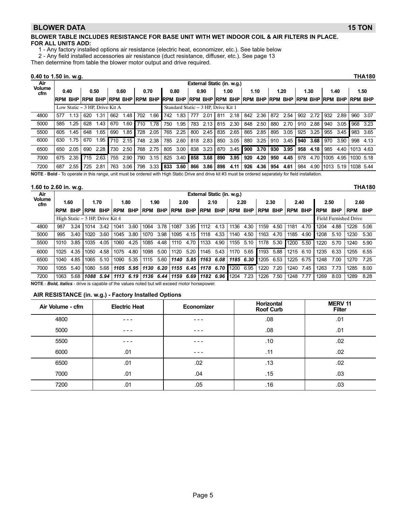#### <span id="page-4-0"></span>BLOWER DATA 15 TON

#### BLOWER TABLE INCLUDES RESISTANCE FOR BASE UNIT WITH WET INDOOR COIL & AIR FILTERS IN PLACE. FOR ALL UNITS ADD:

1 − Any factory installed options air resistance (electric heat, economizer, etc.). See table below

2 − Any field installed accessories air resistance (duct resistance, diffuser, etc.). See page 13

Then determine from table the blower motor output and drive required.

#### 0.40 to 1.50 in. w.g. THA180

| Air                  | External Static (in. w.g.) |                                |                |      |                |          |     |                |            |      |     |                                                                     |     |      |     |      |     |      |     |      |                |      |              |      |
|----------------------|----------------------------|--------------------------------|----------------|------|----------------|----------|-----|----------------|------------|------|-----|---------------------------------------------------------------------|-----|------|-----|------|-----|------|-----|------|----------------|------|--------------|------|
| <b>Volume</b><br>cfm |                            | 0.40                           |                | 0.50 |                | 0.60     |     | 0.70           |            | 0.80 |     | 0.90                                                                |     | 1.00 |     | 1.10 |     | 1.20 |     | 1.30 | 1.40           |      |              | 1.50 |
|                      | <b>RPM BHP</b>             |                                | <b>RPM BHP</b> |      | <b>RPM BHP</b> |          |     | <b>RPM BHP</b> | <b>RPM</b> |      |     | BHP RPM BHP RPM BHP RPM BHP RPM BHP RPM BHP RPM BHP RPM BHP RPM BHP |     |      |     |      |     |      |     |      |                |      |              |      |
|                      |                            | Low Static – 3 HP. Drive Kit A |                |      |                |          |     |                |            |      |     | Standard Static - 3 HP, Drive Kit 1                                 |     |      |     |      |     |      |     |      |                |      |              |      |
| 4800                 | 577                        | l.13 I                         | 620            | 1.31 | 662            | 1.48     | 702 | 1.66           | 742        | 1.83 | 777 | 2.01                                                                | 811 | 2.18 | 842 | 2.36 | 872 | 2.54 | 902 | 2.72 | 932            | 2.89 | 960          | 3.07 |
| 5000                 | 585                        | 1.25                           | 628            | 1.43 | 670            | 1.60     | 710 | 1.78           | 750        | 1.95 | 783 | 2.13                                                                | 815 | 2.30 | 848 | 2.50 | 880 | 2.70 | 910 | 2.88 | 940            | 3.05 | 968          | 3.23 |
| 5500                 | 605                        | 1.45                           | 648            | 1.65 | 690            | 1.85     | 728 | 2.05           | 765        | 2.25 | 800 | 2.45                                                                | 835 | 2.65 | 865 | 2.85 | 895 | 3.05 | 925 | 3.25 | 955            | 3.45 | 983          | 3.65 |
| 6000                 | 630                        | 1.75                           | 670            | 1.95 |                | 710 2.15 | 748 | 2.38           | 785        | 2.60 |     | 818 2.83                                                            | 850 | 3.05 | 880 | 3.25 | 910 | 3.45 | 940 | 3.68 | 970            | 3.90 | 998          | 4.13 |
| 6500                 | 650                        | 2.05                           | 690            | 2.28 | 730            | 2.50     | 768 | 2.75           | 805        | 3.00 | 838 | 3.23                                                                | 870 | 3.45 | 900 | 3.70 | 930 | 3.95 | 958 | 4.18 | 985            | 4.40 | $11013$ 4.63 |      |
| 7000                 | 675                        | 2.35                           | 715            | 2.63 | 755            | 2.90     | 790 | 3.15           | 825        | 3.40 | 858 | 3.68                                                                | 890 | 3.95 | 920 | 4.20 | 950 | 4.45 | 978 |      | 4.70 1005 4.95 |      | 11030 5.18   |      |
| 7200                 | 687                        | 2.55                           | 725            | 2.81 | 763            | 3.06     | 798 | 3.33           | 833        | 3.60 | 866 | 3.86                                                                | 898 | 4.11 | 926 | 4.36 | 954 | 4.61 | 984 |      | 4.90 1013 5.19 |      | 1038 5.44    |      |

NOTE - Bold - To operate in this range, unit must be ordered with High Static Drive and drive kit #3 must be ordered separately for field installation.

#### 1.60 to 2.60 in. w.g. THA180

Air Volume cfm External Static (in. w.g.) 1.60 | 1.70 | 1.80 | 1.90 | 2.00 | 2.10 | 2.20 | 2.30 | 2.40 | 2.50 | 2.60 RPM BHP |RPM BHP |RPM BHP |RPM BHP |RPM BHP |RPM BHP |RPM BHP |RPM BHP |RPM BHP |RPM BHP |RPM BHP High Static − 5 HP, Drive Kit 4 Field Furnished Drive 4800 987 3.24 1014 3.42 1041 3.60 1064 3.78 1087 3.95 1112 4.13 1136 4.30 1159 4.50 1181 4.70 1204 4.88 1226 5.06 5000 995 3.40 1020 3.60 1045 3.80 1070 3.98 1095 4.15 1118 4.33 1140 4.50 1163 4.70 1185 4.90 1208 5.10 1230 5.30 5500 1010 3.85 1035 4.05 1060 4.25 1085 4.48 1110 4.70 1133 4.90 1155 5.10 1178 5.30 1200 5.50 1220 5.70 1240 5.90 6000 1025 4.35 1050 4.58 1075 4.80 1098 5.00 1120 5.20 1145 5.43 1170 5.65 1193 5.88 1215 6.10 1235 6.33 1255 6.55 6500 1040 4.85 1065 5.10 1090 5.35 1115 5.60 1140 5.85 1163 6.08 1185 6.30 1205 6.53 1225 6.75 1248 7.00 1270 7.25 7000 1055 5.40 1080 5.68 1105 5.95 1130 6.20 1155 6.45 1178 6.70 1200 6.95 1220 7.20 1240 7.45 1263 7.73 1285 8.00 7200 1063 5.68 1088 5.94 1113 6.19 1136 6.44 1159 6.69 1182 6.96 1204 7.23 1226 7.50 1248 7.77 1269 8.03 1289 8.28

NOTE - Bold, italics - drive is capable of the values noted but will exceed motor horsepower.

#### AIR RESISTANCE (in. w.g.) − Factory Installed Options

| Air Volume - cfm | <b>Electric Heat</b> | Economizer | Horizontal<br><b>Roof Curb</b> | <b>MERV 11</b><br><b>Filter</b> |
|------------------|----------------------|------------|--------------------------------|---------------------------------|
| 4800             | $- - -$              | $- - -$    | .08                            | .01                             |
| 5000             | $- - -$              | $- - -$    | .08                            | .01                             |
| 5500             | $- - -$              | ---        | .10                            | .02                             |
| 6000             | .01                  | $- - -$    | .11                            | .02                             |
| 6500             | .01                  | .02        | .13                            | .02                             |
| 7000             | .01                  | .04        | .15                            | .03                             |
| 7200             | .01                  | .05        | .16                            | .03                             |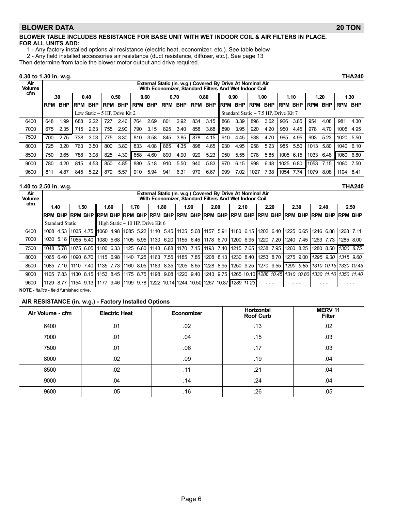#### BLOWER DATA 20 TON

#### BLOWER TABLE INCLUDES RESISTANCE FOR BASE UNIT WITH WET INDOOR COIL & AIR FILTERS IN PLACE. FOR ALL UNITS ADD:

- 1 − Any factory installed options air resistance (electric heat, economizer, etc.). See table below
- 2 − Any field installed accessories air resistance (duct resistance, diffuser, etc.). See page 13

Then determine from table the blower motor output and drive required.

#### 0.30 to 1.30 in. w.g. THA240

| Air<br><b>Volume</b> | External Static (in. w.g.) Covered By Drive At Nominal Air<br>With Economizer, Standard Filters And Wet Indoor Coil |            |             |            |            |                                 |            |            |            |            |            |            |            |                                       |            |            |                |      |            |            |                |      |
|----------------------|---------------------------------------------------------------------------------------------------------------------|------------|-------------|------------|------------|---------------------------------|------------|------------|------------|------------|------------|------------|------------|---------------------------------------|------------|------------|----------------|------|------------|------------|----------------|------|
| cfm                  |                                                                                                                     | .30        |             | 0.40       |            | 0.50                            |            | 0.60       |            | 0.70       |            | 0.80       |            | 0.90                                  |            | 1.00       |                | 1.10 |            | 1.20       |                | 1.30 |
|                      | <b>RPM</b>                                                                                                          | <b>BHP</b> | <b>IRPM</b> | <b>BHP</b> | <b>RPM</b> | <b>BHP</b>                      | <b>RPM</b> | <b>BHP</b> | <b>RPM</b> | <b>BHP</b> | <b>RPM</b> | <b>BHP</b> | <b>RPM</b> | <b>BHP</b>                            | <b>RPM</b> | <b>BHP</b> | <b>RPM BHP</b> |      | <b>RPM</b> | <b>BHP</b> | <b>RPM BHP</b> |      |
|                      |                                                                                                                     |            |             |            |            | Low Static $-5$ HP. Drive Kit 2 |            |            |            |            |            |            |            | Standard Static - 7.5 HP, Drive Kit 7 |            |            |                |      |            |            |                |      |
| 6400                 | 648                                                                                                                 | .99        | 688         | 2.22       | 727        | 2.46                            | 764        | 2.69       | 801        | 2.92       | 834        | 3.15       | 866        | 3.39                                  | 896        | 3.62       | 926            | 3.85 | 954        | 4.08       | 981            | 4.30 |
| 7000                 | 675                                                                                                                 | 2.35       | 715         | 2.63       | 755        | 2.90                            | 790        | 3.15       | 825        | 3.40       | 858        | 3.68       | 890        | 3.95                                  | 920        | 4.20       | 950            | 4.45 | 978        | 4.70       | 1005           | 4.95 |
| 7500                 | 700                                                                                                                 | 2.75       | 738         | 3.03       | 775        | 3.30                            | 810        | 3.58       | 845        | 3.85       | 878        | 4.15       | 910        | 4.45                                  | 938        | 4.70       | 965            | 4.95 | 993        | 5.23       | 1020           | 5.50 |
| 8000                 | 725                                                                                                                 | 3.20       | 763         | 3.50       | 800        | 3.80                            | 833        | 4.08       | 865        | 4.35       | 898        | 4.65       | 930        | 4.95                                  | 958        | 5.23       | 985            | 5.50 | 1013       | 5.80       | 1040           | 6.10 |
| 8500                 | 750                                                                                                                 | 3.65       | 788         | 3.98       | 825        | 4.30                            | 858        | 4.60       | 890        | 4.90       | 920        | 5.23       | 950        | 5.55                                  | 978        | 5.85       | 1005           | 6.15 | 1033       | 6.48       | 1060           | 6.80 |
| 9000                 | 780                                                                                                                 | 4.20       | 815         | 4.53       | 850        | 4.85                            | 880        | 5.18       | 910        | 5.50       | 940        | 5.83       | 970        | 6.15                                  | 998        | 6.48       | 1025           | 6.80 | 1053       | 7.15       | 1080           | 7.50 |
| 9600                 | 811                                                                                                                 | 4.87       | 845         | 5.22       | 879        | 5.57                            | 910        | 5.94       | 941        | 6.31       | 970        | 6.67       | 999        | 7.02                                  | 1027       | 7.38       | 1054           | 7.74 | 1079       | 8.08       | 1104           | 8.41 |

#### 1.40 to 2.50 in. w.g. THA240

| Air<br><b>Volume</b> |                                                                                                               | External Static (in. w.g.) Covered By Drive At Nominal Air<br>With Economizer, Standard Filters And Wet Indoor Coil |                |           |  |                                    |           |  |  |      |  |                                                                                                                              |      |  |                       |           |      |           |           |      |                                                    |  |
|----------------------|---------------------------------------------------------------------------------------------------------------|---------------------------------------------------------------------------------------------------------------------|----------------|-----------|--|------------------------------------|-----------|--|--|------|--|------------------------------------------------------------------------------------------------------------------------------|------|--|-----------------------|-----------|------|-----------|-----------|------|----------------------------------------------------|--|
| cfm                  | 1.40                                                                                                          |                                                                                                                     |                | 1.50      |  | 1.60                               | 1.70      |  |  | 1.80 |  | 1.90                                                                                                                         | 2.00 |  | 2.10                  |           | 2.20 | 2.30      |           | 2.40 | 2.50                                               |  |
|                      | irpm bhp ìrpm bhp ìrpm bhp ìrpm bhp ìrpm bhp ìrpm bhp ìrpm bhp ìrpm bhp ìrpm bhp ìrpm bhp ìrpm bhp ìrpm bhp i |                                                                                                                     |                |           |  |                                    |           |  |  |      |  |                                                                                                                              |      |  |                       |           |      |           |           |      |                                                    |  |
|                      | <b>Standard Static</b>                                                                                        |                                                                                                                     |                |           |  | High Static – 10 HP, Drive Kit 6   |           |  |  |      |  |                                                                                                                              |      |  |                       |           |      |           |           |      |                                                    |  |
| 6400                 | 1008 4.53                                                                                                     |                                                                                                                     |                |           |  | 1035 4.75    1060 4.98   1085 5.22 |           |  |  |      |  | 1110 5.45 1135 5.68 1157 5.91                                                                                                |      |  | $1180$ 6.15 1202 6.40 |           |      |           |           |      | 1225 6.65 1246 6.88 1268 7.11                      |  |
| 7000                 | 1030                                                                                                          |                                                                                                                     | 5.18 1055 5.40 |           |  | 1080 5.68                          | 1105 5.95 |  |  |      |  | 1130 6.20 1155 6.45 1178 6.70 1200 6.95                                                                                      |      |  |                       | 1220 7.20 |      | 1240 7.45 | 1263 7.73 |      | 1285 8.00                                          |  |
| 7500                 | 1048 5.78 1075 6.05                                                                                           |                                                                                                                     |                |           |  | 1100 6.33                          | 1125 6.60 |  |  |      |  | 1148 6.88 1170 7.15 11193 7.40 1215 7.65                                                                                     |      |  |                       | 1238 7.95 |      | 1260 8.25 |           |      | 1280 8.50 1300 8.75                                |  |
| 8000                 | 1065 6.40 1090 6.70                                                                                           |                                                                                                                     |                |           |  | 1115 6.98   1140 7.25              |           |  |  |      |  | 1163 7.55 11185 7.85 11208 8.13 11230 8.40 11253 8.70                                                                        |      |  |                       |           |      |           |           |      | 1275 9.00   1295 9.30   1315 9.60                  |  |
| 8500                 | 1085 7.10                                                                                                     |                                                                                                                     |                | 1110 7.40 |  | 1135 7.73                          | 1160 8.05 |  |  |      |  | 1183 8.35 1205 8.65 1228 8.95 1250 9.25                                                                                      |      |  |                       |           |      |           |           |      | 1270 9.55    1290 9.85    1310 10.15    1330 10.45 |  |
| 9000                 | 1105                                                                                                          | 7.83                                                                                                                |                |           |  |                                    |           |  |  |      |  | 1130 8.15  1153 8.45  1175 8.75  1198 9.08  1220 9.40  1243 9.75  1265 10.10  1288 10.45  1310 10.80  1330 11.10  1350 11.40 |      |  |                       |           |      |           |           |      |                                                    |  |
| 9600                 | 1129                                                                                                          | 8.77                                                                                                                | $1154$ 9.13    |           |  |                                    |           |  |  |      |  | 1177 9.46  1199 9.78  1222 10.14  1244 10.50  1267 10.87   <i>1289 11.23</i>                                                 |      |  |                       |           |      |           |           |      |                                                    |  |

NOTE − italics − field furnished drive.

#### AIR RESISTANCE (in. w.g.) − Factory Installed Options

| Air Volume - cfm | <b>Electric Heat</b> | Economizer | <b>Horizontal</b><br><b>Roof Curb</b> | <b>MERV 11</b><br><b>Filter</b> |
|------------------|----------------------|------------|---------------------------------------|---------------------------------|
| 6400             | .01                  | .02        | .13                                   | .02                             |
| 7000             | .01                  | .04        | .15                                   | .03                             |
| 7500             | .01                  | .06        | .17                                   | .03                             |
| 8000             | .02                  | .09        | .19                                   | .04                             |
| 8500             | .02                  | .11        | .21                                   | .04                             |
| 9000             | .04                  | .14        | .24                                   | .04                             |
| 9600             | .05                  | .16        | .26                                   | .05                             |

Page 6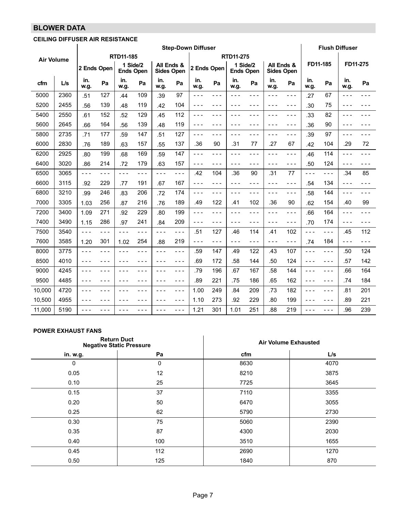# BLOWER DATA

#### CEILING DIFFUSER AIR RESISTANCE

|                   |      | <b>Step-Down Diffuser</b> |         |                              |         |                                 |         |             |         |                              |       |             | <b>Flush Diffuser</b> |             |         |             |       |
|-------------------|------|---------------------------|---------|------------------------------|---------|---------------------------------|---------|-------------|---------|------------------------------|-------|-------------|-----------------------|-------------|---------|-------------|-------|
| <b>Air Volume</b> |      |                           |         | RTD11-185                    |         |                                 |         |             |         | RTD11-275                    |       |             |                       |             |         |             |       |
|                   |      | 2 Ends Open               |         | 1 Side/2<br><b>Ends Open</b> |         | All Ends &<br><b>Sides Open</b> |         | 2 Ends Open |         | 1 Side/2<br><b>Ends Open</b> |       | All Ends &  | <b>Sides Open</b>     | FD11-185    |         | FD11-275    |       |
| cfm               | L/s  | in.<br>w.g.               | Pa      | in.<br>w.g.                  | Pa      | in.<br>w.g.                     | Pa      | in.<br>w.g. | Pa      | in.<br>w.g.                  | Pa    | in.<br>w.g. | Pa                    | in.<br>w.g. | Pa      | in.<br>w.q. | Pa    |
| 5000              | 2360 | .51                       | 127     | .44                          | 109     | .39                             | 97      | ---         | - - -   |                              | - - - |             | ---                   | .27         | 67      | - - -       | - - - |
| 5200              | 2455 | .56                       | 139     | .48                          | 119     | .42                             | 104     | $- - -$     | $- - -$ | - - -                        | - - - | - - -       | $- - -$               | .30         | 75      |             |       |
| 5400              | 2550 | .61                       | 152     | .52                          | 129     | .45                             | 112     | $- - -$     | - - -   | $- - -$                      | - - - | - - -       | $- - -$               | .33         | 82      | $- - -$     |       |
| 5600              | 2645 | .66                       | 164     | .56                          | 139     | .48                             | 119     | $  -$       | - - -   | $  -$                        | - - - | - - -       | $- - -$               | .36         | 90      | $- - -$     |       |
| 5800              | 2735 | .71                       | 177     | .59                          | 147     | .51                             | 127     | $- - -$     | - - -   | $- - -$                      | - - - | - - -       | $- - -$               | .39         | 97      | $- - -$     |       |
| 6000              | 2830 | .76                       | 189     | .63                          | 157     | .55                             | 137     | .36         | 90      | .31                          | 77    | .27         | 67                    | .42         | 104     | .29         | 72    |
| 6200              | 2925 | .80                       | 199     | .68                          | 169     | .59                             | 147     | $- - -$     | $- - -$ | $- - -$                      | - - - | - - -       | $- - -$               | .46         | 114     | $- - -$     | - - - |
| 6400              | 3020 | .86                       | 214     | .72                          | 179     | .63                             | 157     | $- - -$     | - - -   | - - -                        | - - - | - - -       | $- - -$               | .50         | 124     | - - -       |       |
| 6500              | 3065 | $- - -$                   | $- - -$ | $- - -$                      | - - -   | $- - -$                         | $- - -$ | .42         | 104     | .36                          | 90    | .31         | 77                    | $- - -$     | $- - -$ | .34         | 85    |
| 6600              | 3115 | .92                       | 229     | .77                          | 191     | .67                             | 167     | $- - -$     | $- - -$ | $- - -$                      | - - - | - - -       | $- - -$               | .54         | 134     | $- - -$     | - - - |
| 6800              | 3210 | .99                       | 246     | .83                          | 206     | .72                             | 174     | $- - -$     | - - -   | $- - -$                      | - - - | - - -       | $- - -$               | .58         | 144     | - - -       | - - - |
| 7000              | 3305 | 1.03                      | 256     | .87                          | 216     | .76                             | 189     | .49         | 122     | .41                          | 102   | .36         | 90                    | .62         | 154     | .40         | 99    |
| 7200              | 3400 | 1.09                      | 271     | .92                          | 229     | .80                             | 199     | $- - -$     | $- - -$ | $- - -$                      | - - - | - - -       | $- - -$               | .66         | 164     | $- - -$     | - - - |
| 7400              | 3490 | 1.15                      | 286     | .97                          | 241     | .84                             | 209     | $- - -$     | - - -   | - - -                        | - - - | - - -       | $- - -$               | .70         | 174     | $- - -$     | - - - |
| 7500              | 3540 | $- - -$                   | $- - -$ | $- - -$                      | $- - -$ | - - -                           | $- - -$ | .51         | 127     | .46                          | 114   | .41         | 102                   | $- - -$     | $- - -$ | .45         | 112   |
| 7600              | 3585 | 1.20                      | 301     | 1.02                         | 254     | .88                             | 219     | $- - -$     | - - -   | $- - -$                      | - - - | - - -       | $- - -$               | .74         | 184     | $- - -$     | - - - |
| 8000              | 3775 | - - -                     | - - -   | - - -                        | - - -   | - - -                           | - - -   | .59         | 147     | .49                          | 122   | .43         | 107                   | ---         | - - -   | .50         | 124   |
| 8500              | 4010 | $- - -$                   | $- - -$ | $  -$                        | - - -   | - - -                           | $- - -$ | .69         | 172     | .58                          | 144   | .50         | 124                   | ---         | $- - -$ | .57         | 142   |
| 9000              | 4245 | $- - -$                   | ---     | $- - -$                      | - - -   | - - -                           | $- - -$ | .79         | 196     | .67                          | 167   | .58         | 144                   | $- - -$     | $- - -$ | .66         | 164   |
| 9500              | 4485 | ---                       | - - -   | - - -                        | - - -   | - - -                           | $- - -$ | .89         | 221     | .75                          | 186   | .65         | 162                   | - - -       | - - -   | .74         | 184   |
| 10,000            | 4720 | - - -                     | - - -   | - - -                        | - - -   | - - -                           | $- - -$ | 1.00        | 249     | .84                          | 209   | .73         | 182                   | - - -       | - - -   | .81         | 201   |
| 10,500            | 4955 | ---                       | $- - -$ | $- - -$                      | - - -   | $- - -$                         | $- - -$ | 1.10        | 273     | .92                          | 229   | .80         | 199                   | ---         | - - -   | .89         | 221   |
| 11,000            | 5190 | ---                       | - - -   | - - -                        | - - -   | - - -                           | $- - -$ | 1.21        | 301     | 1.01                         | 251   | .88         | 219                   | ---         | - - -   | .96         | 239   |

#### POWER EXHAUST FANS

|          | <b>Return Duct</b><br><b>Negative Static Pressure</b> | <b>Air Volume Exhausted</b> |      |
|----------|-------------------------------------------------------|-----------------------------|------|
| in. w.g. | Pa                                                    | cfm                         | L/s  |
| $\Omega$ | 0                                                     | 8630                        | 4070 |
| 0.05     | 12                                                    | 8210                        | 3875 |
| 0.10     | 25                                                    | 7725                        | 3645 |
| 0.15     | 37                                                    | 7110                        | 3355 |
| 0.20     | 50                                                    | 6470                        | 3055 |
| 0.25     | 62                                                    | 5790                        | 2730 |
| 0.30     | 75                                                    | 5060                        | 2390 |
| 0.35     | 87                                                    | 4300                        | 2030 |
| 0.40     | 100                                                   | 3510                        | 1655 |
| 0.45     | 112                                                   | 2690                        | 1270 |
| 0.50     | 125                                                   | 1840                        | 870  |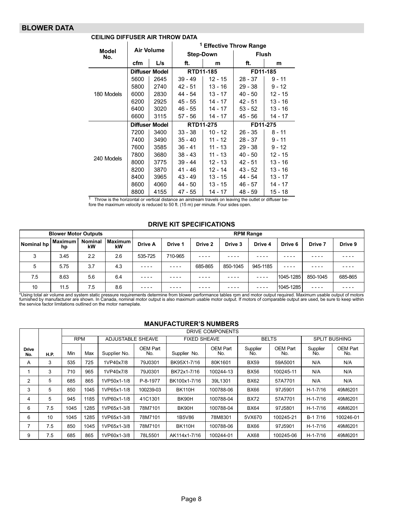#### BLOWER DATA

|                     |      |                   | <sup>1</sup> Effective Throw Range |           |              |           |  |  |  |  |  |  |
|---------------------|------|-------------------|------------------------------------|-----------|--------------|-----------|--|--|--|--|--|--|
| <b>Model</b><br>No. |      | <b>Air Volume</b> | <b>Step-Down</b>                   |           | <b>Flush</b> |           |  |  |  |  |  |  |
|                     | cfm  | L/s               | ft.                                | m         | ft.          | m         |  |  |  |  |  |  |
|                     |      | Diffuser Model    | RTD11-185                          |           | FD11-185     |           |  |  |  |  |  |  |
|                     | 5600 | 2645              | $39 - 49$                          | $12 - 15$ | $28 - 37$    | $9 - 11$  |  |  |  |  |  |  |
|                     | 5800 | 2740              | $42 - 51$                          | $13 - 16$ | $29 - 38$    | 9 - 12    |  |  |  |  |  |  |
| 180 Models          | 6000 | 2830              | 44 - 54                            | $13 - 17$ | $40 - 50$    | $12 - 15$ |  |  |  |  |  |  |
|                     | 6200 | 2925              | 45 - 55                            | 14 - 17   | $42 - 51$    | 13 - 16   |  |  |  |  |  |  |
|                     | 6400 | 3020              | 46 - 55                            | $14 - 17$ | $53 - 52$    | 13 - 16   |  |  |  |  |  |  |
|                     | 6600 | 3115              | 57 - 56                            | 14 - 17   | 45 - 56      | 14 - 17   |  |  |  |  |  |  |
|                     |      | Diffuser Model    | RTD11-275                          |           | FD11-275     |           |  |  |  |  |  |  |
|                     | 7200 | 3400              | $33 - 38$                          | $10 - 12$ | $26 - 35$    | $8 - 11$  |  |  |  |  |  |  |
|                     | 7400 | 3490              | $35 - 40$                          | $11 - 12$ | $28 - 37$    | $9 - 11$  |  |  |  |  |  |  |
|                     | 7600 | 3585              | $36 - 41$                          | $11 - 13$ | $29 - 38$    | $9 - 12$  |  |  |  |  |  |  |
| 240 Models          | 7800 | 3680              | $38 - 43$                          | 11 - 13   | $40 - 50$    | 12 - 15   |  |  |  |  |  |  |
|                     | 8000 | 3775              | $39 - 44$                          | $12 - 13$ | $42 - 51$    | $13 - 16$ |  |  |  |  |  |  |
|                     | 8200 | 3870              | 41 - 46                            | 12 - 14   | 43 - 52      | 13 - 16   |  |  |  |  |  |  |
|                     | 8400 | 3965              | $43 - 49$                          | 13 - 15   | 44 - 54      | 13 - 17   |  |  |  |  |  |  |
|                     | 8600 | 4060              | 44 - 50                            | 13 - 15   | $46 - 57$    | 14 - 17   |  |  |  |  |  |  |
|                     | 8800 | 4155              | 47 - 55                            | 14 - 17   | 48 - 59      | 15 - 18   |  |  |  |  |  |  |

#### CEILING DIFFUSER AIR THROW DATA

 $1$  Throw is the horizontal or vertical distance an airstream travels on leaving the outlet or diffuser before the maximum velocity is reduced to 50 ft. (15 m) per minute. Four sides open.

#### DRIVE KIT SPECIFICATIONS

| <b>Blower Motor Outputs</b> |                      |                      |                 | <b>RPM Range</b> |         |           |          |          |           |          |         |
|-----------------------------|----------------------|----------------------|-----------------|------------------|---------|-----------|----------|----------|-----------|----------|---------|
| Nominal hp                  | <b>Maximum</b><br>hp | <b>Nominal</b><br>kW | Maximum I<br>kW | Drive A          | Drive 1 | Drive 2   | Drive 3  | Drive 4  | Drive 6   | Drive 7  | Drive 9 |
|                             | 3.45                 | 2.2                  | 2.6             | 535-725          | 710-965 | $- - - -$ |          |          |           |          |         |
| 5                           | 5.75                 | 3.7                  | 4.3             | ----             | ----    | 685-865   | 850-1045 | 945-1185 | ----      | ----     |         |
| 7.5                         | 8.63                 | 5.6                  | 6.4             | $- - - -$        | ----    | ----      |          |          | 1045-1285 | 850-1045 | 685-865 |
| 10                          | 11.5                 | 7.5                  | 8.6             |                  |         |           |          |          | 1045-1285 | ----     |         |

\*Using total air volume and system static pressure requirements determine from blower performance tables rpm and motor output required. Maximum usable output of motors<br>furnished by manufacturer are shown. In Canada, nomina

#### MANUFACTURER'S NUMBERS

|                     |             |            | DRIVE COMPONENTS |                   |                 |                     |                 |                 |                        |                      |                 |
|---------------------|-------------|------------|------------------|-------------------|-----------------|---------------------|-----------------|-----------------|------------------------|----------------------|-----------------|
|                     |             | <b>RPM</b> |                  | ADJUSTABLE SHEAVE |                 | <b>FIXED SHEAVE</b> |                 | <b>BELTS</b>    |                        | <b>SPLIT BUSHING</b> |                 |
| <b>Drive</b><br>No. | <b>H.P.</b> | Min        | Max              | Supplier No.      | OEM Part<br>No. | Supplier No.        | OEM Part<br>No. | Supplier<br>No. | <b>OEM Part</b><br>No. | Supplier<br>No.      | OEM Part<br>No. |
| A                   | 3           | 535        | 725              | 1VP40x7/8         | 79J0301         | BK95X1-7/16         | 80K1601         | <b>BX59</b>     | 59A5001                | N/A                  | N/A             |
|                     | 3           | 710        | 965              | 1VP40x7/8         | 79J0301         | BK72x1-7/16         | 100244-13       | <b>BX56</b>     | 100245-11              | N/A                  | N/A             |
| 2                   | 5           | 685        | 865              | 1VP50x1-1/8       | P-8-1977        | BK100x1-7/16        | 39L1301         | <b>BX62</b>     | 57A7701                | N/A                  | N/A             |
| 3                   | 5           | 850        | 1045             | 1VP65x1-1/8       | 100239-03       | <b>BK110H</b>       | 100788-06       | <b>BX66</b>     | 97J5901                | $H - 1 - 7/16$       | 49M6201         |
| 4                   | 5           | 945        | 1185             | 1VP60x1-1/8       | 41C1301         | BK90H               | 100788-04       | <b>BX72</b>     | 57A7701                | $H - 1 - 7/16$       | 49M6201         |
| 6                   | 7.5         | 1045       | 1285             | 1VP65x1-3/8       | 78M7101         | BK90H               | 100788-04       | <b>BX64</b>     | 97J5801                | $H - 1 - 7/16$       | 49M6201         |
| 6                   | 10          | 1045       | 1285             | 1VP65x1-3/8       | 78M7101         | 1B5V86              | 78M8301         | 5VX670          | 100245-21              | B-1 7/16             | 100246-01       |
| 7                   | 7.5         | 850        | 1045             | 1VP65x1-3/8       | 78M7101         | <b>BK110H</b>       | 100788-06       | <b>BX66</b>     | 97J5901                | $H - 1 - 7/16$       | 49M6201         |
| 9                   | 7.5         | 685        | 865              | 1VP60x1-3/8       | 78L5501         | AK114x1-7/16        | 100244-01       | AX68            | 100245-06              | $H - 1 - 7/16$       | 49M6201         |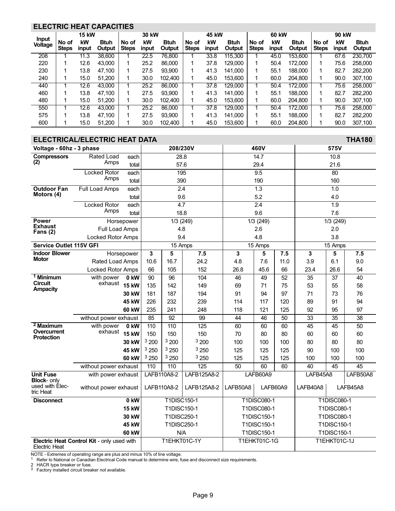#### <span id="page-8-0"></span>ELECTRIC HEAT CAPACITIES

|                                |                       | <b>15 kW</b> |                       | 30 kW                 |             |                       |                       | 45 kW       |                       |                       | 60 kW       |                       |                       | 90 kW       |                       |  |
|--------------------------------|-----------------------|--------------|-----------------------|-----------------------|-------------|-----------------------|-----------------------|-------------|-----------------------|-----------------------|-------------|-----------------------|-----------------------|-------------|-----------------------|--|
| <b>Input</b><br><b>Voltage</b> | No of<br><b>Steps</b> | kW<br>input  | <b>Btuh</b><br>Output | No of<br><b>Steps</b> | kW<br>input | <b>Btuh</b><br>Output | No of<br><b>Steps</b> | kW<br>input | <b>Btuh</b><br>Output | No of<br><b>Steps</b> | kW<br>input | <b>Btuh</b><br>Output | No of<br><b>Steps</b> | kW<br>input | <b>Btuh</b><br>Output |  |
| 208                            |                       | 11.3         | 38,600                |                       | 22.5        | 76,800                |                       | 33.8        | 115,300               |                       | 45.0        | 153,600               |                       | 67.6        | 230.700               |  |
| 220                            |                       | 12.6         | 43.000                |                       | 25.2        | 86,000                |                       | 37.8        | 129,000               |                       | 50.4        | 172,000               |                       | 75.6        | 258,000               |  |
| 230                            |                       | 13.8         | 47.100                |                       | 27.5        | 93.900                |                       | 41.3        | 141.000               |                       | 55.1        | 188,000               |                       | 82.7        | 282,200               |  |
| 240                            |                       | 15.0         | 51.200                |                       | 30.0        | 102.400               |                       | 45.0        | 153.600               |                       | 60.0        | 204.800               |                       | 90.0        | 307.100               |  |
| 440                            |                       | 12.6         | 43.000                |                       | 25.2        | 86,000                |                       | 37.8        | 129,000               |                       | 50.4        | 172.000               |                       | 75.6        | 258,000               |  |
| 460                            |                       | 13.8         | 47.100                |                       | 27.5        | 93.900                |                       | 41.3        | 141.000               |                       | 55.1        | 188,000               |                       | 82.7        | 282,200               |  |
| 480                            |                       | 15.0         | 51.200                |                       | 30.0        | 102.400               |                       | 45.0        | 153.600               |                       | 60.0        | 204.800               |                       | 90.0        | 307,100               |  |
| 550                            |                       | 12.6         | 43.000                |                       | 25.2        | 86,000                |                       | 37.8        | 129,000               |                       | 50.4        | 172.000               |                       | 75.6        | 258,000               |  |
| 575                            |                       | 13.8         | 47.100                |                       | 27.5        | 93.900                |                       | 41.3        | 141.000               |                       | 55.1        | 188,000               |                       | 82.7        | 282,200               |  |
| 600                            |                       | 15.0         | 51.200                |                       | 30.0        | 102.400               |                       | 45.0        | 153,600               |                       | 60.0        | 204.800               |                       | 90.0        | 307.100               |  |

#### ELECTRICAL/ELECTRIC HEAT DATA THA180 Voltage − 60hz − 3 phase │ 208/230V 460V 575V **Compressors** (2) Rated Load Amps each 28.8 14.7 10.8 total 57.6 29.4 21.6 Locked Rotor Amps each 195 9.5 80 total 390 190 160 Outdoor Fan Motors (4) Full Load Amps each 2.4 1.3 1.0 total 9.6 5.2 4.0 Locked Rotor Amps each 4.7 2.4 1.9 total 18.8 9.6 7.6 Power Exhaust Fans (2) Horsepower | 1/3 (249) 1/3 (249) 1/3 (249) 1/3 (249) Full Load Amps | 4.8 | 2.6 | 2.0 Locked Rotor Amps 9.4 4.8 3.8 Service Outlet 115V GFI 15 Amps 15 Amps 15 Amps 15 Amps 15 Amps Indoor Blower **Motor** Horsepower 3 5 7.5 3 3 5 7.5 3 5 7.5 Rated Load Amps 10.6 | 16.7 | 24.2 | 4.8 | 7.6 | 11.0 | 3.9 | 6.1 | 9.0 Locked Rotor Amps 66 | 105 | 152 | 26.8 | 45.6 | 66 | 23.4 | 26.6 | 54 <sup>1</sup> Minimum **Circuit Ampacity** with power exhaust 15 kW 0 kW | 90 | 96 | 104 | 46 | 49 | 52 | 35 | 37 | 40 15 kW | 135 | 142 | 149 | 69 | 71 | 75 | 53 | 55 | 58 **30 kW** | 181 | 187 | 194 | 91 | 94 | 97 | 71 | 73 | 76 **45 kW** | 226 | 232 | 239 | 114 | 117 | 120 | 89 | 91 | 94 **60 kW** | 235 | 241 | 248 | 118 | 121 | 125 | 92 | 95 | 97 without power exhaust | 85 | 92 | 99 | 44 | 46 | 50 | 33 | 35 | 38 <sup>2</sup> Maximum **Overcurrent** Protection with power exhaust 0 kW | 110 | 110 | 125 | 60 | 60 | 60 | 45 | 45 | 50 15 kW | 150 | 150 | 150 | 170 | 80 | 80 | 60 | 60 | 60 | 60 **30 kW**  $\left|\begin{array}{ccc}3\,200\end{array}\right|$   $\left|\begin{array}{ccc}3\,200\end{array}\right|$   $\left|\begin{array}{ccc}3\,200\end{array}\right|$   $\left|\begin{array}{ccc}100\end{array}\right|$  100  $\left|\begin{array}{ccc}100\end{array}\right|$  80  $\left|\begin{array}{ccc}80\end{array}\right|$  80 **45 kW**  $|\begin{array}{c} 3\,250 \end{array}|$   $\begin{array}{c} 3\,250 \end{array}|$   $\begin{array}{c} 3\,250 \end{array}$   $\begin{array}{c} 1\,25 \end{array}$   $\begin{array}{c} 1\,25 \end{array}$   $\begin{array}{c} 1\,25 \end{array}$   $\begin{array}{c} 90 \end{array}$   $\begin{array}{c} 1\,00 \end{array}$   $\begin{array}{c} 1\,00 \end{array}$ **60 kW** 3 250 3 250 3 250 3 250 3 250 3 250 3 250 3 250 3 250 3 250 3 250 3 250 3 250 300 300 300 300 3100 3100 without power exhaust | 110 | 110 | 125 | 50 | 60 | 60 | 40 | 45 | 45 Unit Fuse Block- only used with Electric Heat with power exhaust | LAFB110A8-2 | LAFB125A8-2 | LAFB60A9 | LAFB45A8 | LAFB50A8 without power exhaust | LAFB110A8-2 | LAFB125A8-2 | LAFB50A8 | LAFB60A9 | LAFB40A8 | LAFB45A8 Disconnect 0 kW T1DISC150−1 T1DISC080−1 T1DISC080−1 15 kW T1DISC150−1 T1DISC080−1 T1DISC080−1 30 kW T1DISC250−1 T1DISC150−1 T1DISC080−1 45 kW T1DISC250−1 T1DISC150−1 T1DISC150−1 60 kW N/A T1DISC150−1 T1DISC150−1 Electric Heat Control Kit − only used with Electric Heat T1EHKT01C−1Y T1EHKT01C−1G T1EHKT01C−1J

NOTE - Extremes of operating range are plus and minus 10% of line voltage.

<sup>1</sup> Refer to National or Canadian Electrical Code manual to determine wire, fuse and disconnect size requirements.

2 HACR type breaker or fuse.<br> $3$  Eactory installed circuit brea

Factory installed circuit breaker not available.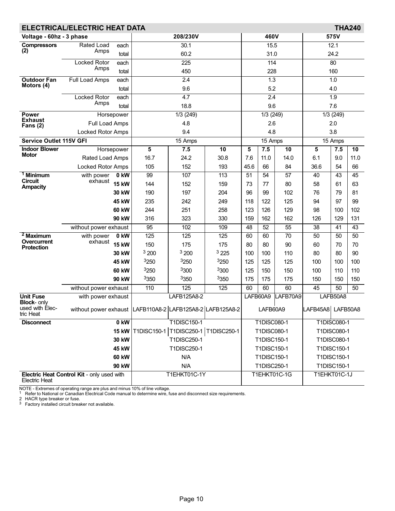| <b>ELECTRICAL/ELECTRIC HEAT DATA</b><br><b>THA240</b> |                                                                 |              |                         |                    |             |          |                              |                 |                   |                    |                 |
|-------------------------------------------------------|-----------------------------------------------------------------|--------------|-------------------------|--------------------|-------------|----------|------------------------------|-----------------|-------------------|--------------------|-----------------|
| Voltage - 60hz - 3 phase                              |                                                                 |              |                         | 208/230V           |             |          | 460V                         |                 | 575V              |                    |                 |
| <b>Compressors</b>                                    | Rated Load<br>each<br>Amps<br>total                             |              |                         | 30.1               |             | 15.5     |                              |                 |                   | 12.1               |                 |
| (2)                                                   |                                                                 |              | 60.2                    |                    |             |          | 31.0                         |                 | 24.2              |                    |                 |
|                                                       | <b>Locked Rotor</b>                                             | each         |                         | $\overline{225}$   |             |          | 114                          |                 |                   | 80                 |                 |
|                                                       | Amps                                                            | total        |                         | 450                |             |          | 228                          |                 |                   | 160                |                 |
| <b>Outdoor Fan</b>                                    | Full Load Amps                                                  | each         |                         | $\overline{2.4}$   |             |          | 1.3                          |                 | 1.0               |                    |                 |
| Motors (4)                                            |                                                                 | total        |                         | 9.6                |             |          | 5.2                          |                 |                   | 4.0                |                 |
|                                                       | <b>Locked Rotor</b>                                             | each         |                         | 4.7                |             |          | 2.4                          |                 |                   | 1.9                |                 |
|                                                       | Amps                                                            | total        |                         | 18.8               |             |          | 9.6                          |                 |                   | 7.6                |                 |
| Power<br><b>Exhaust</b>                               |                                                                 | Horsepower   |                         | 1/3(249)           |             |          | 1/3(249)                     |                 |                   | 1/3(249)           |                 |
| Fans $(2)$                                            | Full Load Amps                                                  |              |                         | 4.8                |             |          | 2.6                          |                 |                   | 2.0                |                 |
|                                                       | Locked Rotor Amps                                               |              |                         | 9.4                |             |          | 4.8                          |                 | 3.8               |                    |                 |
| <b>Service Outlet 115V GFI</b>                        |                                                                 |              |                         | 15 Amps            |             |          | $15$ Amps                    |                 | $15$ Amps         |                    |                 |
| <b>Indoor Blower</b><br><b>Motor</b>                  |                                                                 | Horsepower   | $\overline{\mathbf{5}}$ | 7.5                | 10          | 5        | 7.5                          | 10              | 5                 | 7.5                | $\overline{10}$ |
|                                                       | Rated Load Amps                                                 |              | 16.7                    | 24.2               | 30.8        | 7.6      | 11.0                         | 14.0            | 6.1               | 9.0                | 11.0            |
|                                                       | Locked Rotor Amps                                               |              | 105                     | 152                | 193         | 45.6     | 66                           | 84              | 36.6              | 54                 | 66              |
| <sup>1</sup> Minimum<br><b>Circuit</b>                | with power<br>exhaust                                           | 0 kW         | 99                      | 107                | 113         | 51       | 54                           | 57              | 40                | 43                 | 45              |
| <b>Ampacity</b>                                       |                                                                 | <b>15 kW</b> | 144                     | 152                | 159         | 73       | 77                           | 80              | 58                | 61                 | 63              |
|                                                       |                                                                 | 30 kW        | 190                     | 197                | 204         | 96       | 99                           | 102             | 76                | 79                 | 81              |
|                                                       |                                                                 | 45 kW        | 235                     | 242                | 249         | 118      | 122                          | 125             | 94                | 97                 | 99              |
|                                                       |                                                                 | <b>60 kW</b> | 244                     | 251                | 258         | 123      | 126                          | 129             | 98                | 100                | 102             |
|                                                       |                                                                 | 90 kW        | 316                     | 323                | 330         | 159      | 162                          | 162             | 126               | 129                | 131             |
|                                                       | without power exhaust                                           |              | $\overline{95}$         | 102                | 109         | 48       | $\overline{52}$              | $\overline{55}$ | 38                | 41                 | 43              |
| $2$ Maximum<br>Overcurrent                            | with power<br>exhaust                                           | 0 kW         | 125                     | 125                | 125         | 60       | 60                           | 70              | 50                | 50                 | 50              |
| <b>Protection</b>                                     |                                                                 | <b>15 kW</b> | 150                     | 175                | 175         | 80       | 80                           | 90              | 60                | 70                 | 70              |
|                                                       |                                                                 | 30 kW        | 3200                    | 3200               | 3225        | 100      | 100                          | 110             | 80                | 80                 | 90              |
|                                                       |                                                                 | 45 kW        | 3250                    | 3250               | 3250        | 125      | 125                          | 125             | 100               | 100                | 100             |
|                                                       |                                                                 | <b>60 kW</b> | 3250                    | 3300               | 3300        | 125      | 150                          | 150             | 100               | 110                | 110             |
|                                                       |                                                                 | 90 kW        | 3350                    | 3350               | 3350        | 175      | 175                          | 175             | 150               | 150                | 150             |
|                                                       | without power exhaust                                           |              | 110                     | 125                | 125         | 60       | 60                           | 60              | 45                | 50                 | 50              |
| <b>Unit Fuse</b><br><b>Block-</b> only                | with power exhaust                                              |              |                         | LAFB125A8-2        |             | LAFB60A9 |                              | LAFB70A9        |                   | LAFB50A8           |                 |
| used with Elec-<br>tric Heat                          | without power exhaust   LAFB110A8-2   LAFB125A8-2   LAFB125A8-2 |              |                         |                    |             |          | LAFB60A9                     |                 | LAFB45A8 LAFB50A8 |                    |                 |
| <b>Disconnect</b>                                     |                                                                 | 0 kW         |                         | <b>T1DISC150-1</b> |             |          | T1DISC080-1                  |                 |                   | T1DISC080-1        |                 |
|                                                       |                                                                 | <b>15 kW</b> | T1DISC150-1             | T1DISC250-1        | T1DISC250-1 |          | <b>T1DISC080-1</b>           |                 |                   | <b>T1DISC080-1</b> |                 |
|                                                       |                                                                 | <b>30 kW</b> |                         | T1DISC250-1        |             |          | <b>T1DISC150-1</b>           |                 |                   | <b>T1DISC080-1</b> |                 |
| 45 kW                                                 |                                                                 |              |                         | <b>T1DISC250-1</b> |             |          | T1DISC150-1                  |                 | T1DISC150-1       |                    |                 |
|                                                       |                                                                 | <b>60 kW</b> |                         | N/A                |             |          | T1DISC150-1                  |                 | T1DISC150-1       |                    |                 |
|                                                       |                                                                 | 90 kW        |                         | N/A                |             |          | T1DISC250-1                  |                 | T1DISC150-1       |                    |                 |
| <b>Electric Heat</b>                                  | Electric Heat Control Kit - only used with                      |              |                         | T1EHKT01C-1Y       |             |          | T1EHKT01C-1G<br>T1EHKT01C-1J |                 |                   |                    |                 |

NOTE - Extremes of operating range are plus and minus 10% of line voltage.<br><sup>1</sup> Refer to National or Canadian Electrical Code manual to determine wire, fuse and disconnect size requirements.<br>2 HACR type breaker or fuse.<br><sup></sup>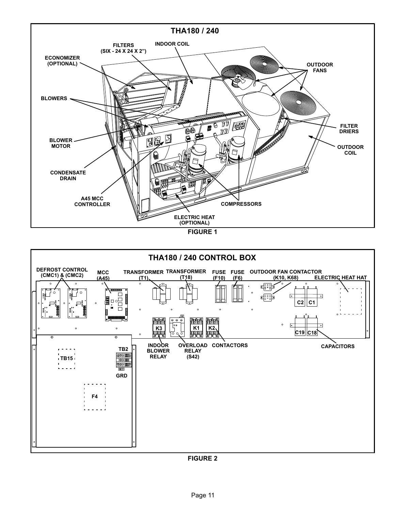<span id="page-10-0"></span>



FIGURE 2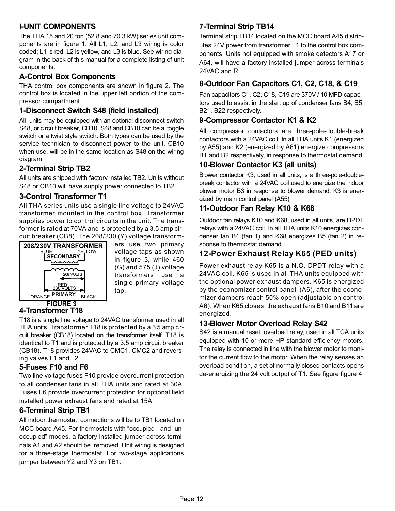# <span id="page-11-0"></span>I−UNIT COMPONENTS

The THA 15 and 20 ton (52.8 and 70.3 kW) series unit components are in figure [1.](#page-10-0) All L1, L2, and L3 wiring is color coded; L1 is red, L2 is yellow, and L3 is blue. See wiring diagram in the back of this manual for a complete listing of unit components.

# A−Control Box Components

THA control box components are shown in figure [2.](#page-10-0) The control box is located in the upper left portion of the compressor compartment.

### 1−Disconnect Switch S48 (field installed)

All units may be equipped with an optional disconnect switch S48, or circuit breaker, CB10. S48 and CB10 can be a toggle switch or a twist style switch. Both types can be used by the service technician to disconnect power to the unit. CB10 when use, will be in the same location as S48 on the wiring diagram.

#### 2−Terminal Strip TB2

All units are shipped with factory installed TB2. Units without S48 or CB10 will have supply power connected to TB2.

# 3−Control Transformer T1

All THA series units use a single line voltage to 24VAC transformer mounted in the control box. Transformer supplies power to control circuits in the unit. The transformer is rated at 70VA and is protected by a 3.5 amp circuit breaker (CB8). The 208/230 (Y) voltage transform-



ers use two primary voltage taps as shown in figure 3, while 460 (G) and 575 (J) voltage transformers use a single primary voltage tap.

# 4−Transformer T18

T18 is a single line voltage to 24VAC transformer used in all THA units. Transformer T18 is protected by a 3.5 amp circuit breaker (CB18) located on the transformer itself. T18 is identical to T1 and is protected by a 3.5 amp circuit breaker (CB18). T18 provides 24VAC to CMC1, CMC2 and reversing valves L1 and L2.

# 5−Fuses F10 and F6

Two line voltage fuses F10 provide overcurrent protection to all condenser fans in all THA units and rated at 30A. Fuses F6 provide overcurrent protection for optional field installed power exhaust fans and rated at 15A.

# 6−Terminal Strip TB1

All indoor thermostat connections will be to TB1 located on MCC board A45. For thermostats with "occupied " and "unoccupied" modes, a factory installed jumper across terminals A1 and A2 should be removed. Unit wiring is designed for a three−stage thermostat. For two−stage applications jumper between Y2 and Y3 on TB1.

# 7−Terminal Strip TB14

Terminal strip TB14 located on the MCC board A45 distributes 24V power from transformer T1 to the control box components. Units not equipped with smoke detectors A17 or A64, will have a factory installed jumper across terminals 24VAC and R.

# 8−Outdoor Fan Capacitors C1, C2, C18, & C19

Fan capacitors C1, C2, C18, C19 are 370V / 10 MFD capacitors used to assist in the start up of condenser fans B4, B5, B21, B22 respectively.

#### 9-Compressor Contactor K1 & K2

All compressor contactors are three-pole-double-break contactors with a 24VAC coil. In all THA units K1 (energized by A55) and K2 (energized by A61) energize compressors B1 and B2 respectively, in response to thermostat demand.

#### 10−Blower Contactor K3 (all units)

Blower contactor K3, used in all units, is a three-pole-doublebreak contactor with a 24VAC coil used to energize the indoor blower motor B3 in response to blower demand. K3 is energized by main control panel (A55).

# 11−Outdoor Fan Relay K10 & K68

Outdoor fan relays K10 and K68, used in all units, are DPDT relays with a 24VAC coil. In all THA units K10 energizes condenser fan B4 (fan 1) and K68 energizes B5 (fan 2) in response to thermostat demand.

#### 12−Power Exhaust Relay K65 (PED units)

Power exhaust relay K65 is a N.O. DPDT relay with a 24VAC coil. K65 is used in all THA units equipped with the optional power exhaust dampers. K65 is energized by the economizer control panel (A6), after the economizer dampers reach 50% open (adjustable on control A6). When K65 closes, the exhaust fans B10 and B11 are energized.

#### 13−Blower Motor Overload Relay S42

S42 is a manual reset overload relay, used in all TCA units equipped with 10 or more HP standard efficiency motors. The relay is connected in line with the blower motor to monitor the current flow to the motor. When the relay senses an overload condition, a set of normally closed contacts opens de−energizing the 24 volt output of T1. See figure figure [4.](#page-12-0)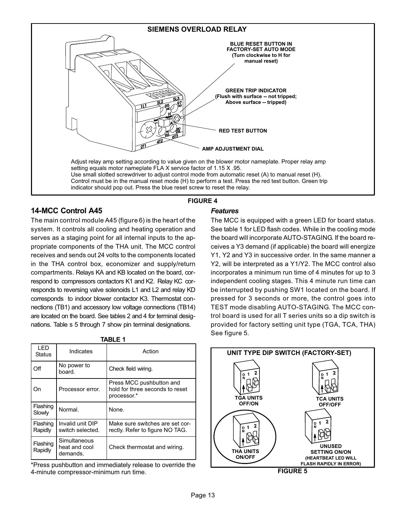<span id="page-12-0"></span>

# 14−MCC Control A45

The main control module A45 (figure [6](#page-13-0)) is the heart of the system. It controls all cooling and heating operation and serves as a staging point for all internal inputs to the appropriate components of the THA unit. The MCC control receives and sends out 24 volts to the components located in the THA control box, economizer and supply/return compartments. Relays KA and KB located on the board, correspond to compressors contactors K1 and K2. Relay KC corresponds to reversing valve solenoids L1 and L2 and relay KD corresponds to indoor blower contactor K3. Thermostat connections (TB1) and accessory low voltage connections (TB14) are located on the board. See tables [2](#page-13-0) and [4](#page-13-0) for terminal designations. Table s [5](#page-13-0) through [7](#page-13-0) show pin terminal designations.

| I FD<br><b>Status</b> | Indicates                                 | Action                                                                     |
|-----------------------|-------------------------------------------|----------------------------------------------------------------------------|
| Off                   | No power to<br>board.                     | Check field wiring.                                                        |
| ( )ท                  | Processor error.                          | Press MCC pushbutton and<br>hold for three seconds to reset<br>processor.* |
| Flashing<br>Slowly    | Normal.                                   | None.                                                                      |
| Flashing<br>Rapidly   | Invalid unit DIP<br>switch selected.      | Make sure switches are set cor-<br>rectly. Refer to figure NO TAG.         |
| Flashing<br>Rapidly   | Simultaneous<br>heat and cool<br>demands. | Check thermostat and wiring.                                               |

\*Press pushbutton and immediately release to override the 4−minute compressor−minimum run time.

#### **Features**

The MCC is equipped with a green LED for board status. See table 1 for LED flash codes. While in the cooling mode the board will incorporate AUTO−STAGING. If the board receives a Y3 demand (if applicable) the board will energize Y1, Y2 and Y3 in successive order. In the same manner a Y2, will be interpreted as a Y1/Y2. The MCC control also incorporates a minimum run time of 4 minutes for up to 3 independent cooling stages. This 4 minute run time can be interrupted by pushing SW1 located on the board. If pressed for 3 seconds or more, the control goes into TEST mode disabling AUTO−STAGING. The MCC control board is used for all T series units so a dip switch is provided for factory setting unit type (TGA, TCA, THA) See figure 5.

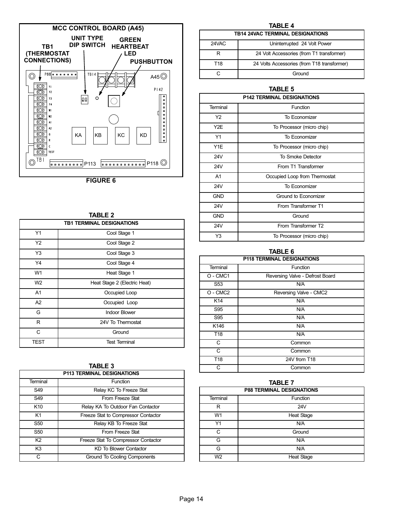<span id="page-13-0"></span>

FIGURE 6

| TABLE 2        |                                  |  |  |  |  |  |  |
|----------------|----------------------------------|--|--|--|--|--|--|
|                | <b>TB1 TERMINAL DESIGNATIONS</b> |  |  |  |  |  |  |
| Y1             | Cool Stage 1                     |  |  |  |  |  |  |
| Y2             | Cool Stage 2                     |  |  |  |  |  |  |
| Y3             | Cool Stage 3                     |  |  |  |  |  |  |
| Y4             | Cool Stage 4                     |  |  |  |  |  |  |
| W <sub>1</sub> | Heat Stage 1                     |  |  |  |  |  |  |
| W <sub>2</sub> | Heat Stage 2 (Electric Heat)     |  |  |  |  |  |  |
| A <sub>1</sub> | Occupied Loop                    |  |  |  |  |  |  |
| A2             | Occupied Loop                    |  |  |  |  |  |  |
| G              | <b>Indoor Blower</b>             |  |  |  |  |  |  |
| R              | 24V To Thermostat                |  |  |  |  |  |  |
| C              | Ground                           |  |  |  |  |  |  |
| TEST           | <b>Test Terminal</b>             |  |  |  |  |  |  |

|--|--|

| <b>P113 TERMINAL DESIGNATIONS</b> |                                     |  |  |  |  |  |
|-----------------------------------|-------------------------------------|--|--|--|--|--|
| Terminal                          | Function                            |  |  |  |  |  |
| S49                               | Relay KC To Freeze Stat             |  |  |  |  |  |
| S49                               | From Freeze Stat                    |  |  |  |  |  |
| K <sub>10</sub>                   | Relay KA To Outdoor Fan Contactor   |  |  |  |  |  |
| K <sub>1</sub>                    | Freeze Stat to Compressor Contactor |  |  |  |  |  |
| S <sub>50</sub>                   | Relay KB To Freeze Stat             |  |  |  |  |  |
| S <sub>50</sub>                   | From Freeze Stat                    |  |  |  |  |  |
| K <sub>2</sub>                    | Freeze Stat To Compressor Contactor |  |  |  |  |  |
| K <sub>3</sub>                    | <b>KD To Blower Contactor</b>       |  |  |  |  |  |
| C.                                | Ground To Cooling Components        |  |  |  |  |  |

| TABLE 4                                 |                                             |  |  |  |  |  |
|-----------------------------------------|---------------------------------------------|--|--|--|--|--|
| <b>TB14 24VAC TERMINAL DESIGNATIONS</b> |                                             |  |  |  |  |  |
| 24VAC                                   | Uninterrupted 24 Volt Power                 |  |  |  |  |  |
| R                                       | 24 Volt Accessories (from T1 transformer)   |  |  |  |  |  |
| T18                                     | 24 Volts Accessories (from T18 transformer) |  |  |  |  |  |
| r.                                      | Ground                                      |  |  |  |  |  |

#### TABLE 5

| <b>P142 TERMINAL DESIGNATIONS</b> |                               |  |  |  |  |
|-----------------------------------|-------------------------------|--|--|--|--|
| Terminal                          | Function                      |  |  |  |  |
| Y2                                | To Economizer                 |  |  |  |  |
| Y2E                               | To Processor (micro chip)     |  |  |  |  |
| Y1                                | To Fconomizer                 |  |  |  |  |
| Y1E                               | To Processor (micro chip)     |  |  |  |  |
| 24V                               | To Smoke Detector             |  |  |  |  |
| 24V                               | From T1 Transformer           |  |  |  |  |
| A1                                | Occupied Loop from Thermostat |  |  |  |  |
| <b>24V</b>                        | To Economizer                 |  |  |  |  |
| <b>GND</b>                        | Ground to Economizer          |  |  |  |  |
| <b>24V</b>                        | From Transformer T1           |  |  |  |  |
| <b>GND</b>                        | Ground                        |  |  |  |  |
| 24V                               | From Transformer T2           |  |  |  |  |
| Y3                                | To Processor (micro chip)     |  |  |  |  |

#### TABLE 6

| <b>P118 TERMINAL DESIGNATIONS</b> |                                 |  |  |  |  |
|-----------------------------------|---------------------------------|--|--|--|--|
| Terminal                          | Function                        |  |  |  |  |
| O - CMC1                          | Reversing Valve - Defrost Board |  |  |  |  |
| S <sub>53</sub>                   | N/A                             |  |  |  |  |
| O - CMC <sub>2</sub>              | Reversing Valve - CMC2          |  |  |  |  |
| K14                               | N/A                             |  |  |  |  |
| S95                               | N/A                             |  |  |  |  |
| S95                               | N/A                             |  |  |  |  |
| K146                              | N/A                             |  |  |  |  |
| T <sub>18</sub>                   | N/A                             |  |  |  |  |
| C                                 | Common                          |  |  |  |  |
| C                                 | Common                          |  |  |  |  |
| T <sub>18</sub>                   | 24V from T18                    |  |  |  |  |
| C                                 | Common                          |  |  |  |  |

#### TABLE 7

|                | <b>P88 TERMINAL DESIGNATIONS</b> |
|----------------|----------------------------------|
| Terminal       | Function                         |
| R              | 24V                              |
| W <sub>1</sub> | <b>Heat Stage</b>                |
| Y1             | N/A                              |
| C.             | Ground                           |
| G              | N/A                              |
| G              | N/A                              |
| W2             | <b>Heat Stage</b>                |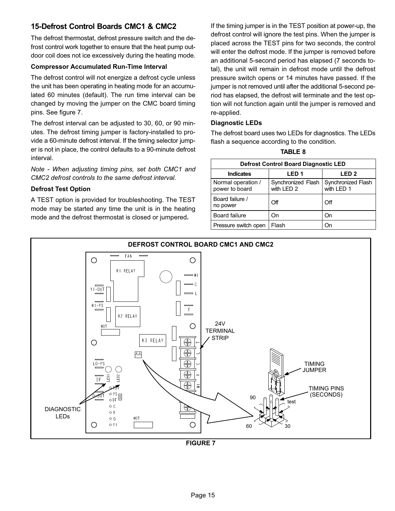# 15−Defrost Control Boards CMC1 & CMC2

The defrost thermostat, defrost pressure switch and the defrost control work together to ensure that the heat pump outdoor coil does not ice excessively during the heating mode.

#### Compressor Accumulated Run−Time Interval

The defrost control will not energize a defrost cycle unless the unit has been operating in heating mode for an accumulated 60 minutes (default). The run time interval can be changed by moving the jumper on the CMC board timing pins. See figure 7.

The defrost interval can be adjusted to 30, 60, or 90 minutes. The defrost timing jumper is factory−installed to provide a 60−minute defrost interval. If the timing selector jumper is not in place, the control defaults to a 90−minute defrost interval.

Note − When adjusting timing pins, set both CMC1 and CMC2 defrost controls to the same defrost interval.

#### Defrost Test Option

A TEST option is provided for troubleshooting. The TEST mode may be started any time the unit is in the heating mode and the defrost thermostat is closed or jumpered.

If the timing jumper is in the TEST position at power-up, the defrost control will ignore the test pins. When the jumper is placed across the TEST pins for two seconds, the control will enter the defrost mode. If the jumper is removed before an additional 5−second period has elapsed (7 seconds total), the unit will remain in defrost mode until the defrost pressure switch opens or 14 minutes have passed. If the jumper is not removed until after the additional 5−second period has elapsed, the defrost will terminate and the test option will not function again until the jumper is removed and re−applied.

#### Diagnostic LEDs

The defrost board uses two LEDs for diagnostics. The LEDs flash a sequence according to the condition.

TABLE 8

|                                      | <b>Defrost Control Board Diagnostic LED</b> |                                  |
|--------------------------------------|---------------------------------------------|----------------------------------|
| <b>Indicates</b>                     | LED <sub>1</sub>                            | LED <sub>2</sub>                 |
| Normal operation /<br>power to board | Synchronized Flash<br>with LED 2            | Synchronized Flash<br>with LED 1 |
| Board failure /<br>no power          | Off                                         | Off                              |
| <b>Board failure</b>                 | On.                                         | On                               |
| Pressure switch open                 | Flash                                       | On                               |

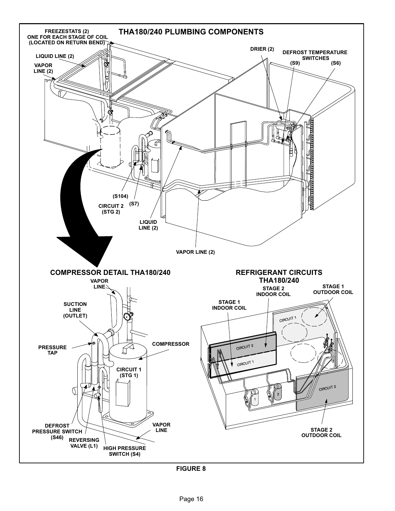<span id="page-15-0"></span>

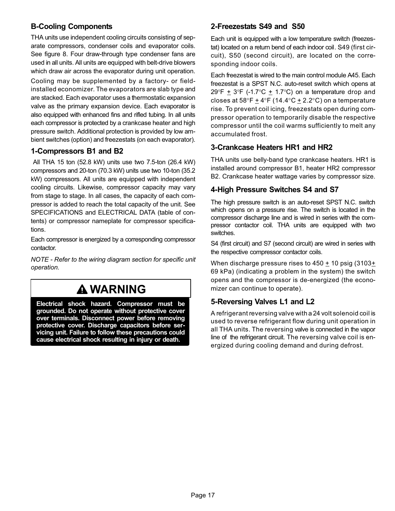# B−Cooling Components

THA units use independent cooling circuits consisting of separate compressors, condenser coils and evaporator coils. See figure [8.](#page-15-0) Four draw−through type condenser fans are used in all units. All units are equipped with belt-drive blowers which draw air across the evaporator during unit operation. Cooling may be supplemented by a factory- or fieldinstalled economizer. The evaporators are slab type and are stacked. Each evaporator uses a thermostatic expansion valve as the primary expansion device. Each evaporator is also equipped with enhanced fins and rifled tubing. In all units each compressor is protected by a crankcase heater and high pressure switch. Additional protection is provided by low ambient switches (option) and freezestats (on each evaporator).

#### 1−Compressors B1 and B2

 All THA 15 ton (52.8 kW) units use two 7.5-ton (26.4 kW) compressors and 20-ton (70.3 kW) units use two 10-ton (35.2 kW) compressors. All units are equipped with independent cooling circuits. Likewise, compressor capacity may vary from stage to stage. In all cases, the capacity of each compressor is added to reach the total capacity of the unit. See SPECIFICATIONS and ELECTRICAL DATA (table of contents) or compressor nameplate for compressor specifications.

Each compressor is energized by a corresponding compressor contactor.

NOTE − Refer to the wiring diagram section for specific unit operation.

# WARNING

Electrical shock hazard. Compressor must be grounded. Do not operate without protective cover over terminals. Disconnect power before removing protective cover. Discharge capacitors before servicing unit. Failure to follow these precautions could cause electrical shock resulting in injury or death.

### 2−Freezestats S49 and S50

Each unit is equipped with a low temperature switch (freezestat) located on a return bend of each indoor coil. S49 (first circuit), S50 (second circuit), are located on the corresponding indoor coils.

Each freezestat is wired to the main control module A45. Each freezestat is a SPST N.C. auto−reset switch which opens at 29°F  $\pm$  3°F (-1.7°C  $\pm$  1.7°C) on a temperature drop and closes at 58°F  $\pm$  4°F (14.4°C  $\pm$  2.2°C) on a temperature rise. To prevent coil icing, freezestats open during compressor operation to temporarily disable the respective compressor until the coil warms sufficiently to melt any accumulated frost.

#### 3−Crankcase Heaters HR1 and HR2

THA units use belly-band type crankcase heaters. HR1 is installed around compressor B1, heater HR2 compressor B2. Crankcase heater wattage varies by compressor size.

#### 4−High Pressure Switches S4 and S7

The high pressure switch is an auto-reset SPST N.C. switch which opens on a pressure rise. The switch is located in the compressor discharge line and is wired in series with the compressor contactor coil. THA units are equipped with two switches.

S4 (first circuit) and S7 (second circuit) are wired in series with the respective compressor contactor coils.

When discharge pressure rises to  $450 \pm 10$  psig (3103 $\pm$ 69 kPa) (indicating a problem in the system) the switch opens and the compressor is de−energized (the economizer can continue to operate).

# 5−Reversing Valves L1 and L2

A refrigerant reversing valve with a 24 volt solenoid coil is used to reverse refrigerant flow during unit operation in all THA units. The reversing valve is connected in the vapor line of the refrigerant circuit. The reversing valve coil is energized during cooling demand and during defrost.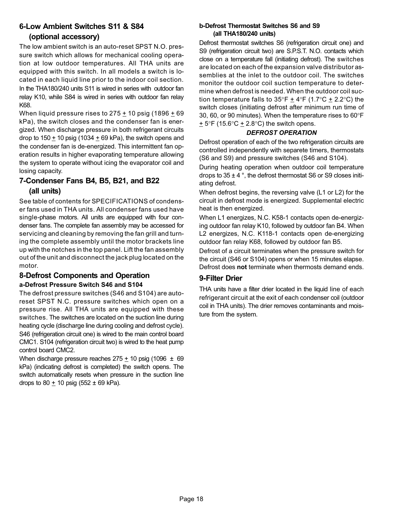# 6−Low Ambient Switches S11 & S84 (optional accessory)

The low ambient switch is an auto-reset SPST N.O. pressure switch which allows for mechanical cooling operation at low outdoor temperatures. All THA units are equipped with this switch. In all models a switch is located in each liquid line prior to the indoor coil section. In the THA180/240 units S11 is wired in series with outdoor fan relay K10, while S84 is wired in series with outdoor fan relay K68.

When liquid pressure rises to  $275 \pm 10$  psig (1896  $\pm 69$ kPa), the switch closes and the condenser fan is energized. When discharge pressure in both refrigerant circuits drop to  $150 + 10$  psig (1034 + 69 kPa), the switch opens and the condenser fan is de−energized. This intermittent fan operation results in higher evaporating temperature allowing the system to operate without icing the evaporator coil and losing capacity.

# 7−Condenser Fans B4, B5, B21, and B22 (all units)

See table of contents for SPECIFICATIONS of condenser fans used in THA units. All condenser fans used have single−phase motors. All units are equipped with four condenser fans. The complete fan assembly may be accessed for servicing and cleaning by removing the fan grill and turning the complete assembly until the motor brackets line up with the notches in the top panel. Lift the fan assembly out of the unit and disconnect the jack plug located on the motor.

# 8−Defrost Components and Operation

### a−Defrost Pressure Switch S46 and S104

The defrost pressure switches (S46 and S104) are autoreset SPST N.C. pressure switches which open on a pressure rise. All THA units are equipped with these switches. The switches are located on the suction line during heating cycle (discharge line during cooling and defrost cycle). S46 (refrigeration circuit one) is wired to the main control board CMC1. S104 (refrigeration circuit two) is wired to the heat pump control board CMC2.

When discharge pressure reaches  $275 \pm 10$  psig (1096  $\pm$  69 kPa) (indicating defrost is completed) the switch opens. The switch automatically resets when pressure in the suction line drops to 80  $\pm$  10 psig (552  $\pm$  69 kPa).

#### b−Defrost Thermostat Switches S6 and S9 (all THA180/240 units)

Defrost thermostat switches S6 (refrigeration circuit one) and S9 (refrigeration circuit two) are S.P.S.T. N.O. contacts which close on a temperature fall (initiating defrost). The switches are located on each of the expansion valve distributor assemblies at the inlet to the outdoor coil. The switches monitor the outdoor coil suction temperature to determine when defrost is needed. When the outdoor coil suction temperature falls to  $35^{\circ}F \pm 4^{\circ}F$  (1.7°C  $\pm$  2.2°C) the switch closes (initiating defrost after minimum run time of 30, 60, or 90 minutes). When the temperature rises to 60°F  $\pm$  5°F (15.6°C  $\pm$  2.8°C) the switch opens.

#### DEFROST OPERATION

Defrost operation of each of the two refrigeration circuits are controlled independently with separete timers, thermostats (S6 and S9) and pressure switches (S46 and S104).

During heating operation when outdoor coil temperature drops to  $35 \pm 4$  °, the defrost thermostat S6 or S9 closes initiating defrost.

When defrost begins, the reversing valve (L1 or L2) for the circuit in defrost mode is energized. Supplemental electric heat is then energized.

When L1 energizes, N.C. K58−1 contacts open de−energizing outdoor fan relay K10, followed by outdoor fan B4. When L2 energizes, N.C. K118−1 contacts open de−energizing outdoor fan relay K68, followed by outdoor fan B5.

Defrost of a circuit terminates when the pressure switch for the circuit (S46 or S104) opens or when 15 minutes elapse. Defrost does not terminate when thermosts demand ends.

# 9−Filter Drier

THA units have a filter drier located in the liquid line of each refrigerant circuit at the exit of each condenser coil (outdoor coil in THA units). The drier removes contaminants and moisture from the system.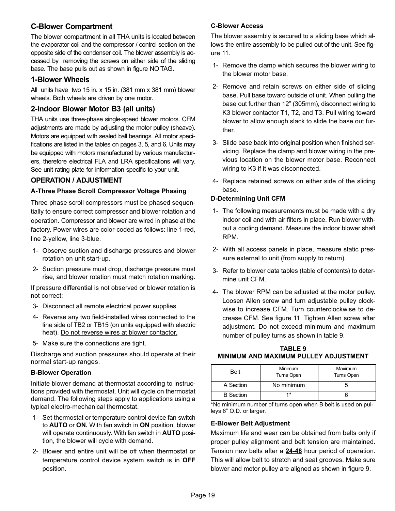# C−Blower Compartment

The blower compartment in all THA units is located between the evaporator coil and the compressor / control section on the opposite side of the condenser coil. The blower assembly is accessed by removing the screws on either side of the sliding base. The base pulls out as shown in figure [NO TAG.](#page-0-0)

#### 1−Blower Wheels

All units have two 15 in. x 15 in. (381 mm x 381 mm) blower wheels. Both wheels are driven by one motor.

# 2−Indoor Blower Motor B3 (all units)

THA units use three-phase single-speed blower motors. CFM adjustments are made by adjusting the motor pulley (sheave). Motors are equipped with sealed ball bearings. All motor specifications are listed in the tables on pages 3, 5, and 6. Units may be equipped with motors manufactured by various manufacturers, therefore electrical FLA and LRA specifications will vary. See unit rating plate for information specific to your unit.

# OPERATION / ADJUSTMENT

#### A−Three Phase Scroll Compressor Voltage Phasing

Three phase scroll compressors must be phased sequentially to ensure correct compressor and blower rotation and operation. Compressor and blower are wired in phase at the factory. Power wires are color−coded as follows: line 1−red, line 2−yellow, line 3−blue.

- 1− Observe suction and discharge pressures and blower rotation on unit start−up.
- 2− Suction pressure must drop, discharge pressure must rise, and blower rotation must match rotation marking.

If pressure differential is not observed or blower rotation is not correct:

- 3− Disconnect all remote electrical power supplies.
- 4− Reverse any two field−installed wires connected to the line side of TB2 or TB15 (on units equipped with electric heat). Do not reverse wires at blower contactor.
- 5− Make sure the connections are tight.

Discharge and suction pressures should operate at their normal start-up ranges.

#### B−Blower Operation

Initiate blower demand at thermostat according to instructions provided with thermostat. Unit will cycle on thermostat demand. The following steps apply to applications using a typical electro−mechanical thermostat.

- 1− Set thermostat or temperature control device fan switch to AUTO or ON. With fan switch in ON position, blower will operate continuously. With fan switch in **AUTO** position, the blower will cycle with demand.
- 2− Blower and entire unit will be off when thermostat or temperature control device system switch is in OFF position.

#### C−Blower Access

The blower assembly is secured to a sliding base which allows the entire assembly to be pulled out of the unit. See figure [11.](#page-19-0)

- 1− Remove the clamp which secures the blower wiring to the blower motor base.
- 2− Remove and retain screws on either side of sliding base. Pull base toward outside of unit. When pulling the base out further than 12" (305mm), disconnect wiring to K3 blower contactor T1, T2, and T3. Pull wiring toward blower to allow enough slack to slide the base out further.
- 3− Slide base back into original position when finished servicing. Replace the clamp and blower wiring in the previous location on the blower motor base. Reconnect wiring to K3 if it was disconnected.
- 4− Replace retained screws on either side of the sliding base.

#### D−Determining Unit CFM

- 1− The following measurements must be made with a dry indoor coil and with air filters in place. Run blower without a cooling demand. Measure the indoor blower shaft RPM.
- 2− With all access panels in place, measure static pressure external to unit (from supply to return).
- 3− Refer to blower data tables (table of contents) to determine unit CFM.
- 4− The blower RPM can be adjusted at the motor pulley. Loosen Allen screw and turn adjustable pulley clockwise to increase CFM. Turn counterclockwise to decrease CFM. See figure [11.](#page-19-0) Tighten Allen screw after adjustment. Do not exceed minimum and maximum number of pulley turns as shown in table 9.

#### TABLE 9 MINIMUM AND MAXIMUM PULLEY ADJUSTMENT

| <b>Belt</b>      | Minimum<br>Turns Open | Maximum<br>Turns Open |
|------------------|-----------------------|-----------------------|
| A Section        | No minimum            |                       |
| <b>B</b> Section | 1*                    |                       |

\*No minimum number of turns open when B belt is used on pulleys 6" O.D. or larger.

#### E−Blower Belt Adjustment

Maximum life and wear can be obtained from belts only if proper pulley alignment and belt tension are maintained. Tension new belts after a 24−48 hour period of operation. This will allow belt to stretch and seat grooves. Make sure blower and motor pulley are aligned as shown in figure [9](#page-19-0).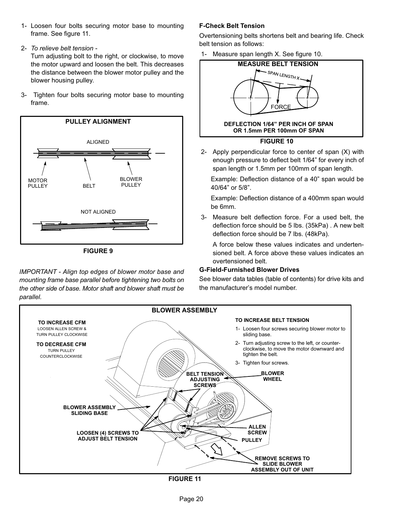- <span id="page-19-0"></span> 1− Loosen four bolts securing motor base to mounting frame. See figure 11.
- 2− To relieve belt tension −

Turn adjusting bolt to the right, or clockwise, to move the motor upward and loosen the belt. This decreases the distance between the blower motor pulley and the blower housing pulley.

 3− Tighten four bolts securing motor base to mounting frame.



FIGURE 9

IMPORTANT − Align top edges of blower motor base and mounting frame base parallel before tightening two bolts on the other side of base. Motor shaft and blower shaft must be parallel.

#### F−Check Belt Tension

Overtensioning belts shortens belt and bearing life. Check belt tension as follows:

1− Measure span length X. See figure 10.



 2− Apply perpendicular force to center of span (X) with enough pressure to deflect belt 1/64" for every inch of span length or 1.5mm per 100mm of span length.

Example: Deflection distance of a 40" span would be 40/64" or 5/8".

Example: Deflection distance of a 400mm span would be 6mm.

 3− Measure belt deflection force. For a used belt, the deflection force should be 5 lbs. (35kPa) . A new belt deflection force should be 7 lbs. (48kPa).

A force below these values indicates and undertensioned belt. A force above these values indicates an overtensioned belt.

#### G−Field−Furnished Blower Drives

See blower data tables (table of contents) for drive kits and the manufacturer's model number.



FIGURE 11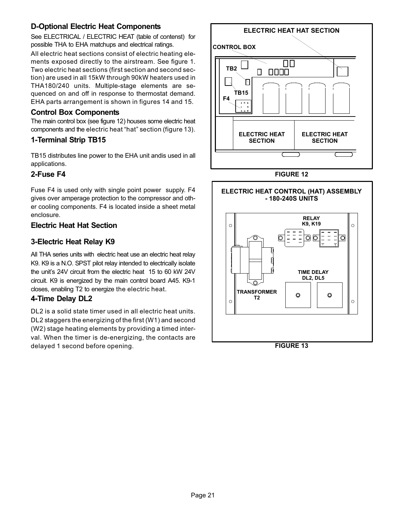# D−Optional Electric Heat Components

See ELECTRICAL / ELECTRIC HEAT (table of contenst) for possible THA to EHA matchups and electrical ratings.

All electric heat sections consist of electric heating elements exposed directly to the airstream. See figure [1](#page-10-0). Two electric heat sections (first section and second section) are used in all 15kW through 90kW heaters used in THA180/240 units. Multiple-stage elements are sequenced on and off in response to thermostat demand. EHA parts arrangement is shown in figures [14](#page-22-0) and [15](#page-23-0).

#### Control Box Components

The main control box (see figure 12) houses some electric heat components and the electric heat "hat" section (figure 13).

# 1−Terminal Strip TB15

TB15 distributes line power to the EHA unit andis used in all applications.

# 2−Fuse F4

Fuse F4 is used only with single point power supply. F4 gives over amperage protection to the compressor and other cooling components. F4 is located inside a sheet metal enclosure.

# Electric Heat Hat Section

# 3−Electric Heat Relay K9

All THA series units with electric heat use an electric heat relay K9. K9 is a N.O. SPST pilot relay intended to electrically isolate the unit's 24V circuit from the electric heat 15 to 60 kW 24V circuit. K9 is energized by the main control board A45. K9−1 closes, enabling T2 to energize the electric heat.

# 4−Time Delay DL2

DL2 is a solid state timer used in all electric heat units. DL2 staggers the energizing of the first (W1) and second (W2) stage heating elements by providing a timed interval. When the timer is de−energizing, the contacts are delayed 1 second before opening.



FIGURE 12



FIGURE 13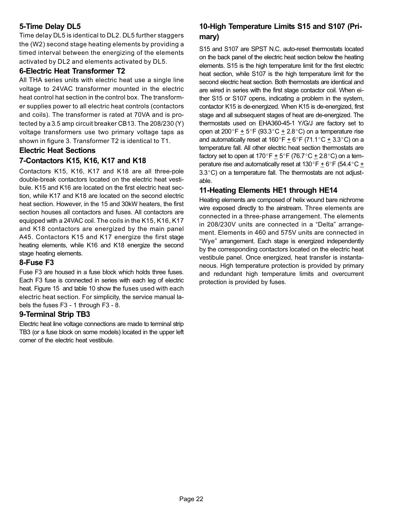# 5−Time Delay DL5

Time delay DL5 is identical to DL2. DL5 further staggers the (W2) second stage heating elements by providing a timed interval between the energizing of the elements activated by DL2 and elements activated by DL5.

#### 6−Electric Heat Transformer T2

All THA series units with electric heat use a single line voltage to 24VAC transformer mounted in the electric heat control hat section in the control box. The transformer supplies power to all electric heat controls (contactors and coils). The transformer is rated at 70VA and is protected by a 3.5 amp circuit breaker CB13. The 208/230 (Y) voltage transformers use two primary voltage taps as shown in figure [3.](#page-11-0) Transformer T2 is identical to T1.

#### Electric Heat Sections

# 7−Contactors K15, K16, K17 and K18

Contactors K15, K16, K17 and K18 are all three-pole double-break contactors located on the electric heat vestibule. K15 and K16 are located on the first electric heat section, while K17 and K18 are located on the second electric heat section. However, in the 15 and 30kW heaters, the first section houses all contactors and fuses. All contactors are equipped with a 24VAC coil. The coils in the K15, K16, K17 and K18 contactors are energized by the main panel A45. Contactors K15 and K17 energize the first stage heating elements, while K16 and K18 energize the second stage heating elements.

# 8−Fuse F3

Fuse F3 are housed in a fuse block which holds three fuses. Each F3 fuse is connected in series with each leg of electric heat. Figure [15](#page-23-0) and table [10](#page-22-0) show the fuses used with each electric heat section. For simplicity, the service manual labels the fuses F3 − 1 through F3 − 8.

#### 9−Terminal Strip TB3

Electric heat line voltage connections are made to terminal strip TB3 (or a fuse block on some models) located in the upper left corner of the electric heat vestibule.

# 10−High Temperature Limits S15 and S107 (Primary)

S15 and S107 are SPST N.C. auto-reset thermostats located on the back panel of the electric heat section below the heating elements. S15 is the high temperature limit for the first electric heat section, while S107 is the high temperature limit for the second electric heat section. Both thermostats are identical and are wired in series with the first stage contactor coil. When either S15 or S107 opens, indicating a problem in the system, contactor K15 is de-energized. When K15 is de-energized, first stage and all subsequent stages of heat are de-energized. The thermostats used on EHA360-45-1 Y/G/J are factory set to open at  $200^{\circ}F + 5^{\circ}F$  (93.3 $^{\circ}C + 2.8^{\circ}C$ ) on a temperature rise and automatically reset at  $160^{\circ}F + 6^{\circ}F$  (71.1°C + 3.3°C) on a temperature fall. All other electric heat section thermostats are factory set to open at 170°F  $\pm$  5°F (76.7°C  $\pm$  2.8°C) on a temperature rise and automatically reset at 130 $\degree$ F  $\pm$  6 $\degree$ F (54.4 $\degree$ C  $\pm$  $3.3^{\circ}$ C) on a temperature fall. The thermostats are not adjustable.

# 11−Heating Elements HE1 through HE14

Heating elements are composed of helix wound bare nichrome wire exposed directly to the airstream. Three elements are connected in a three-phase arrangement. The elements in 208/230V units are connected in a "Delta" arrangement. Elements in 460 and 575V units are connected in Wye" arrangement. Each stage is energized independently by the corresponding contactors located on the electric heat vestibule panel. Once energized, heat transfer is instantaneous. High temperature protection is provided by primary and redundant high temperature limits and overcurrent protection is provided by fuses.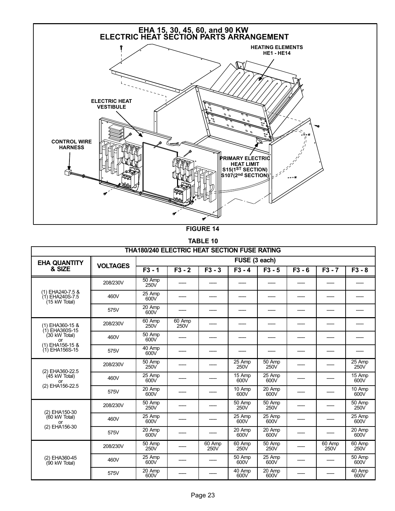<span id="page-22-0"></span>

FIGURE 14

TABLE 10

|                                                      |                 | THA180/240 ELECTRIC HEAT SECTION FUSE RATING |                |                |                |                |          |                |                |
|------------------------------------------------------|-----------------|----------------------------------------------|----------------|----------------|----------------|----------------|----------|----------------|----------------|
| <b>EHA QUANTITY</b>                                  |                 |                                              |                |                | FUSE (3 each)  |                |          |                |                |
| & SIZE                                               | <b>VOLTAGES</b> | $F3 - 1$                                     | $F3 - 2$       | $F3 - 3$       | $F3 - 4$       | $F3 - 5$       | $F3 - 6$ | $F3 - 7$       | $F3 - 8$       |
|                                                      | 208/230V        | 50 Amp<br>250V                               |                |                |                |                |          |                |                |
| (1) EHA240-7.5 &<br>(1) EHA240S-7.5<br>(15 kW Total) | 460V            | 25 Amp<br>600V                               |                |                |                |                |          |                |                |
|                                                      | 575V            | 20 Amp<br>600V                               |                |                |                |                |          |                |                |
| (1) EHA360-15 &<br>(1) EHA360S-15                    | 208/230V        | 60 Amp<br>250V                               | 60 Amp<br>250V |                |                |                |          |                |                |
| $(30 \text{ kW Total})$<br>or                        | 460V            | 50 Amp<br>600V                               |                |                |                |                |          |                |                |
| (1) EHA156-15 &<br>(1) EHA156S-15                    | 575V            | 40 Amp<br>600V                               |                |                |                |                |          |                |                |
| (2) EHA360-22.5                                      | 208/230V        | 50 Amp<br>250V                               |                |                | 25 Amp<br>250V | 50 Amp<br>250V |          |                | 25 Amp<br>250V |
| $(45$ kW Total)<br>or                                | 460V            | 25 Amp<br>600V                               |                |                | 15 Amp<br>600V | 25 Amp<br>600V |          |                | 15 Amp<br>600V |
| (2) EHA156-22.5                                      | 575V            | 20 Amp<br>600V                               |                |                | 10 Amp<br>600V | 20 Amp<br>600V |          |                | 10 Amp<br>600V |
| (2) EHA150-30                                        | 208/230V        | 50 Amp<br>250V                               |                |                | 50 Amp<br>250V | 50 Amp<br>250V |          |                | 50 Amp<br>250V |
| (60 kW Total)<br>or                                  | 460V            | 25 Amp<br>600V                               |                |                | 25 Amp<br>600V | 25 Amp<br>600V |          |                | 25 Amp<br>600V |
| (2) EHA156-30                                        | 575V            | 20 Amp<br>600V                               |                |                | 20 Amp<br>600V | 20 Amp<br>600V |          |                | 20 Amp<br>600V |
|                                                      | 208/230V        | 50 Amp<br>250V                               |                | 60 Amp<br>250V | 60 Amp<br>250V | 50 Amp<br>250V |          | 60 Amp<br>250V | 60 Amp<br>250V |
| (2) EHA360-45<br>$(90 \text{ kW Total})$             | 460V            | 25 Amp<br>600V                               |                |                | 50 Amp<br>600V | 25 Amp<br>600V |          |                | 50 Amp<br>600V |
|                                                      | 575V            | 20 Amp<br>600V                               |                |                | 40 Amp<br>600V | 20 Amp<br>600V |          |                | 40 Amp<br>600V |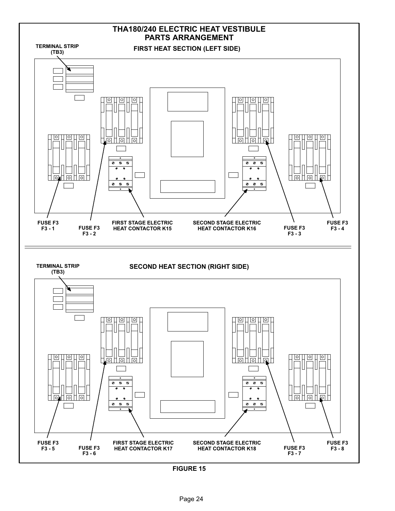<span id="page-23-0"></span>

FIGURE 15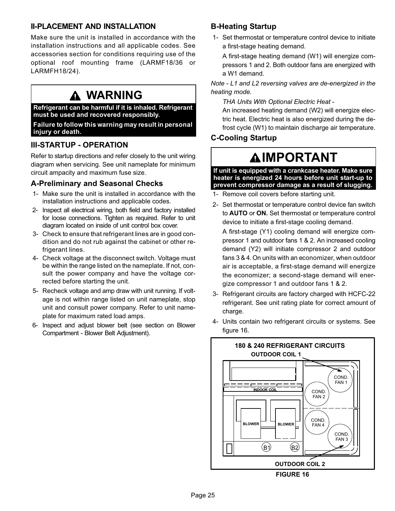# <span id="page-24-0"></span>II−PLACEMENT AND INSTALLATION

Make sure the unit is installed in accordance with the installation instructions and all applicable codes. See accessories section for conditions requiring use of the optional roof mounting frame (LARMF18/36 or LARMFH18/24).

# WARNING

Refrigerant can be harmful if it is inhaled. Refrigerant must be used and recovered responsibly.

Failure to follow this warning may result in personal injury or death.

# III−STARTUP − OPERATION

Refer to startup directions and refer closely to the unit wiring diagram when servicing. See unit nameplate for minimum circuit ampacity and maximum fuse size.

# A−Preliminary and Seasonal Checks

- 1− Make sure the unit is installed in accordance with the installation instructions and applicable codes.
- 2− Inspect all electrical wiring, both field and factory installed for loose connections. Tighten as required. Refer to unit diagram located on inside of unit control box cover.
- 3− Check to ensure that refrigerant lines are in good condition and do not rub against the cabinet or other refrigerant lines.
- 4− Check voltage at the disconnect switch. Voltage must be within the range listed on the nameplate. If not, consult the power company and have the voltage corrected before starting the unit.
- 5− Recheck voltage and amp draw with unit running. If voltage is not within range listed on unit nameplate, stop unit and consult power company. Refer to unit nameplate for maximum rated load amps.
- 6− Inspect and adjust blower belt (see section on Blower Compartment − Blower Belt Adjustment).

# B−Heating Startup

 1− Set thermostat or temperature control device to initiate a first−stage heating demand.

A first−stage heating demand (W1) will energize compressors 1 and 2. Both outdoor fans are energized with a W1 demand.

Note − L1 and L2 reversing valves are de−energized in the heating mode.

THA Units With Optional Electric Heat −

An increased heating demand (W2) will energize electric heat. Electric heat is also energized during the defrost cycle (W1) to maintain discharge air temperature.

# C−Cooling Startup

# **AIMPORTANT**

If unit is equipped with a crankcase heater. Make sure heater is energized 24 hours before unit start−up to prevent compressor damage as a result of slugging.

- 1− Remove coil covers before starting unit.
- 2− Set thermostat or temperature control device fan switch to AUTO or ON. Set thermostat or temperature control device to initiate a first−stage cooling demand.

A first−stage (Y1) cooling demand will energize compressor 1 and outdoor fans 1 & 2. An increased cooling demand (Y2) will initiate compressor 2 and outdoor fans 3 & 4. On units with an economizer, when outdoor air is acceptable, a first−stage demand will energize the economizer; a second−stage demand will energize compressor 1 and outdoor fans 1 & 2.

- 3− Refrigerant circuits are factory charged with HCFC−22 refrigerant. See unit rating plate for correct amount of charge.
- 4− Units contain two refrigerant circuits or systems. See figure 16.

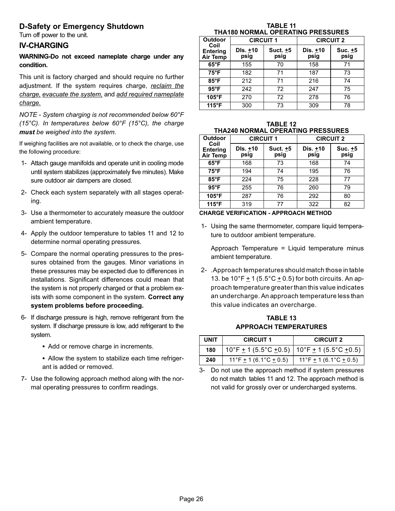# <span id="page-25-0"></span>D−Safety or Emergency Shutdown

Turn off power to the unit.

#### IV−CHARGING

#### WARNING−Do not exceed nameplate charge under any condition.

This unit is factory charged and should require no further adjustment. If the system requires charge, reclaim the charge, evacuate the system, and add required nameplate charge.

NOTE − System charging is not recommended below 60°F (15°C). In temperatures below 60°F (15°C), the charge must be weighed into the system.

If weighing facilities are not available, or to check the charge, use the following procedure:

- 1− Attach gauge manifolds and operate unit in cooling mode until system stabilizes (approximately five minutes). Make sure outdoor air dampers are closed.
- 2− Check each system separately with all stages operating.
- 3− Use a thermometer to accurately measure the outdoor ambient temperature.
- 4− Apply the outdoor temperature to tables 11 and 12 to determine normal operating pressures.
- 5− Compare the normal operating pressures to the pressures obtained from the gauges. Minor variations in these pressures may be expected due to differences in installations. Significant differences could mean that the system is not properly charged or that a problem exists with some component in the system. Correct any system problems before proceeding.
- 6− If discharge pressure is high, remove refrigerant from the system. If discharge pressure is low, add refrigerant to the system.
	- Add or remove charge in increments.
	- Allow the system to stabilize each time refrigerant is added or removed.
- 7− Use the following approach method along with the normal operating pressures to confirm readings.

| <b>TABLE 11</b>                   |  |
|-----------------------------------|--|
| THA180 NORMAL OPERATING PRESSURES |  |

| Outdoor                                    | <b>CIRCUIT 1</b> |                  | <b>CIRCUIT 2</b> |                 |
|--------------------------------------------|------------------|------------------|------------------|-----------------|
| Coil<br><b>Entering</b><br><b>Air Temp</b> | DIs. +10<br>psig | Suct. +5<br>psig | Dis. +10<br>psig | Suc. +5<br>psig |
| $65^{\circ}$ F                             | 155              | 70               | 158              | 71              |
| $75^{\circ}F$                              | 182              | 71               | 187              | 73              |
| $85^{\circ}$ F                             | 212              | 71               | 216              | 74              |
| $95^{\circ}$ F                             | 242              | 72               | 247              | 75              |
| $105^\circ F$                              | 270              | 72               | 278              | 76              |
| 115°F                                      | 300              | 73               | 309              | 78              |

| <b>TABLE 12</b>                          |
|------------------------------------------|
| <b>THA240 NORMAL OPERATING PRESSURES</b> |

| <b>Outdoor</b>                             | <b>CIRCUIT 1</b> |                  | <b>CIRCUIT 2</b> |                 |
|--------------------------------------------|------------------|------------------|------------------|-----------------|
| Coil<br><b>Entering</b><br><b>Air Temp</b> | DIs. +10<br>psig | Suct. +5<br>psig | Dis. +10<br>psig | Suc. +5<br>psig |
| $65^{\circ}$ F                             | 168              | 73               | 168              | 74              |
| $75^{\circ}F$                              | 194              | 74               | 195              | 76              |
| $85^{\circ}$ F                             | 224              | 75               | 228              | 77              |
| $95^{\circ}$ F                             | 255              | 76               | 260              | 79              |
| $105^\circ F$                              | 287              | 76               | 292              | 80              |
| 115°F                                      | 319              | 77               | 322              | 82              |

#### CHARGE VERIFICATION − APPROACH METHOD

 1− Using the same thermometer, compare liquid temperature to outdoor ambient temperature.

Approach Temperature = Liquid temperature minus ambient temperature.

 2− .Approach temperatures should match those in table 13. be  $10^{\circ}$ F  $\pm$  1 (5.5 $^{\circ}$ C  $\pm$  0.5) for both circuits. An approach temperature greater than this value indicates an undercharge. An approach temperature less than this value indicates an overcharge.

TABLE 13 APPROACH TEMPERATURES

| <b>UNIT</b> | <b>CIRCUIT 1</b>                                                          | <b>CIRCUIT 2</b>                     |
|-------------|---------------------------------------------------------------------------|--------------------------------------|
| 180         | $10^{\circ}$ F $\pm$ 1 (5.5°C $\pm$ 0.5)   10°F $\pm$ 1 (5.5°C $\pm$ 0.5) |                                      |
| 240         | 11°F $\pm$ 1 (6.1°C $\pm$ 0.5)                                            | 11°F <u>+</u> 1 (6.1°C <u>+</u> 0.5) |

3− Do not use the approach method if system pressures do not match tables 11 and 12. The approach method is not valid for grossly over or undercharged systems.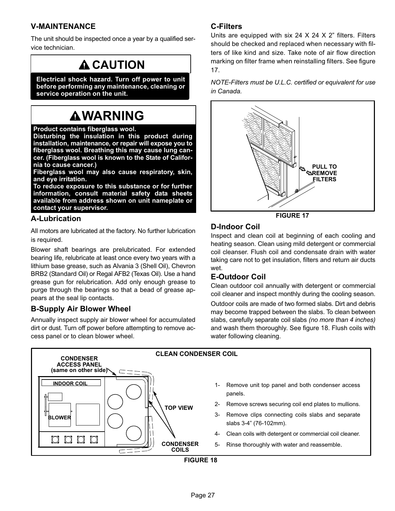# <span id="page-26-0"></span>V−MAINTENANCE

The unit should be inspected once a year by a qualified service technician.

# **A CAUTION**

Electrical shock hazard. Turn off power to unit before performing any maintenance, cleaning or service operation on the unit.

# **AWARNING**

#### Product contains fiberglass wool.

Disturbing the insulation in this product during installation, maintenance, or repair will expose you to fiberglass wool. Breathing this may cause lung cancer. (Fiberglass wool is known to the State of California to cause cancer.)

Fiberglass wool may also cause respiratory, skin, and eye irritation.

To reduce exposure to this substance or for further information, consult material safety data sheets available from address shown on unit nameplate or contact your supervisor.

#### A−Lubrication

All motors are lubricated at the factory. No further lubrication is required.

Blower shaft bearings are prelubricated. For extended bearing life, relubricate at least once every two years with a lithium base grease, such as Alvania 3 (Shell Oil), Chevron BRB2 (Standard Oil) or Regal AFB2 (Texas Oil). Use a hand grease gun for relubrication. Add only enough grease to purge through the bearings so that a bead of grease appears at the seal lip contacts.

# B−Supply Air Blower Wheel

Annually inspect supply air blower wheel for accumulated dirt or dust. Turn off power before attempting to remove access panel or to clean blower wheel.

# C−Filters

Units are equipped with six 24  $\times$  24  $\times$  2" filters. Filters should be checked and replaced when necessary with filters of like kind and size. Take note of air flow direction marking on filter frame when reinstalling filters. See figure 17.

NOTE−Filters must be U.L.C. certified or equivalent for use in Canada.



FIGURE 17

#### D−Indoor Coil

Inspect and clean coil at beginning of each cooling and heating season. Clean using mild detergent or commercial coil cleanser. Flush coil and condensate drain with water taking care not to get insulation, filters and return air ducts wet.

# E−Outdoor Coil

Clean outdoor coil annually with detergent or commercial coil cleaner and inspect monthly during the cooling season.

Outdoor coils are made of two formed slabs. Dirt and debris may become trapped between the slabs. To clean between slabs, carefully separate coil slabs (no more than 4 inches) and wash them thoroughly. See figure 18. Flush coils with water following cleaning.



Page 27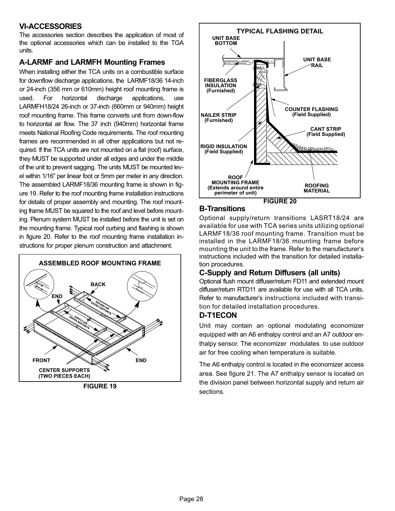# <span id="page-27-0"></span>VI−ACCESSORIES

The accessories section describes the application of most of the optional accessories which can be installed to the TGA units.

# A−LARMF and LARMFH Mounting Frames

When installing either the TCA units on a combustible surface for downflow discharge applications, the LARMF18/36 14-inch or 24-inch (356 mm or 610mm) height roof mounting frame is used. For horizontal discharge applications, use LARMFH18/24 26-inch or 37-inch (660mm or 940mm) height roof mounting frame. This frame converts unit from down-flow to horizontal air flow. The 37 inch (940mm) horizontal frame meets National Roofing Code requirements. The roof mounting frames are recommended in all other applications but not required. If the TCA units are not mounted on a flat (roof) surface, they MUST be supported under all edges and under the middle of the unit to prevent sagging. The units MUST be mounted level within 1/16" per linear foot or 5mm per meter in any direction. The assembled LARMF18/36 mounting frame is shown in figure 19. Refer to the roof mounting frame installation instructions for details of proper assembly and mounting. The roof mounting frame MUST be squared to the roof and level before mounting. Plenum system MUST be installed before the unit is set on the mounting frame. Typical roof curbing and flashing is shown in figure 20. Refer to the roof mounting frame installation instructions for proper plenum construction and attachment.



FIGURE 19



#### B−Transitions

Optional supply/return transitions LASRT18/24 are available for use with TCA series units utilizing optional LARMF18/36 roof mounting frame. Transition must be installed in the LARMF18/36 mounting frame before mounting the unit to the frame. Refer to the manufacturer's instructions included with the transition for detailed installation procedures.

# C−Supply and Return Diffusers (all units)

Optional flush mount diffuser/return FD11 and extended mount diffuser/return RTD11 are available for use with all TCA units. Refer to manufacturer's instructions included with transition for detailed installation procedures.

#### D−T1ECON

Unit may contain an optional modulating economizer equipped with an A6 enthalpy control and an A7 outdoor enthalpy sensor. The economizer modulates to use outdoor air for free cooling when temperature is suitable.

The A6 enthalpy control is located in the economizer access area. See figure [21](#page-28-0). The A7 enthalpy sensor is located on the division panel between horizontal supply and return air sections.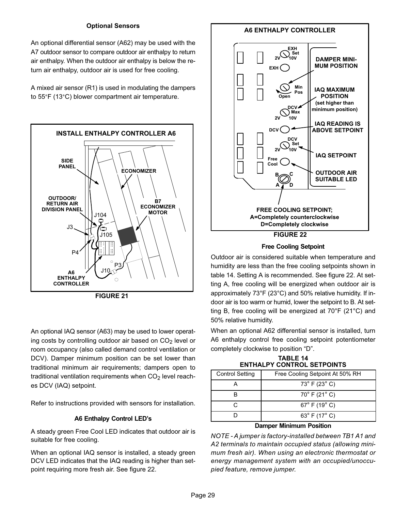#### Optional Sensors

<span id="page-28-0"></span>An optional differential sensor (A62) may be used with the A7 outdoor sensor to compare outdoor air enthalpy to return air enthalpy. When the outdoor air enthalpy is below the return air enthalpy, outdoor air is used for free cooling.

A mixed air sensor (R1) is used in modulating the dampers to 55°F (13°C) blower compartment air temperature.





An optional IAQ sensor (A63) may be used to lower operating costs by controlling outdoor air based on  $CO<sub>2</sub>$  level or room occupancy (also called demand control ventilation or DCV). Damper minimum position can be set lower than traditional minimum air requirements; dampers open to traditional ventilation requirements when  $CO<sub>2</sub>$  level reaches DCV (IAQ) setpoint.

Refer to instructions provided with sensors for installation.

#### A6 Enthalpy Control LED's

A steady green Free Cool LED indicates that outdoor air is suitable for free cooling.

When an optional IAQ sensor is installed, a steady green DCV LED indicates that the IAQ reading is higher than setpoint requiring more fresh air. See figure 22.



Free Cooling Setpoint

Outdoor air is considered suitable when temperature and humidity are less than the free cooling setpoints shown in table 14. Setting A is recommended. See figure 22. At setting A, free cooling will be energized when outdoor air is approximately 73°F (23°C) and 50% relative humidity. If indoor air is too warm or humid, lower the setpoint to B. At setting B, free cooling will be energized at 70°F (21°C) and 50% relative humidity.

When an optional A62 differential sensor is installed, turn A6 enthalpy control free cooling setpoint potentiometer completely clockwise to position "D".

TABLE 14 ENTHALPY CONTROL SETPOINTS

| <b>Control Setting</b> | Free Cooling Setpoint At 50% RH   |
|------------------------|-----------------------------------|
|                        | $73^{\circ}$ F (23 $^{\circ}$ C)  |
|                        | $70^{\circ}$ F (21 $^{\circ}$ C)  |
|                        | $67^{\circ}$ F (19 $^{\circ}$ C)  |
|                        | 63 $^{\circ}$ F (17 $^{\circ}$ C) |

#### Damper Minimum Position

NOTE − A jumper is factory−installed between TB1 A1 and A2 terminals to maintain occupied status (allowing minimum fresh air). When using an electronic thermostat or energy management system with an occupied/unoccupied feature, remove jumper.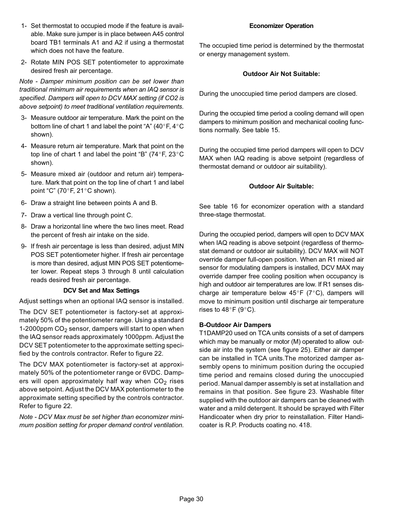- 1− Set thermostat to occupied mode if the feature is available. Make sure jumper is in place between A45 control board TB1 terminals A1 and A2 if using a thermostat which does not have the feature.
- 2− Rotate MIN POS SET potentiometer to approximate desired fresh air percentage.

Note − Damper minimum position can be set lower than traditional minimum air requirements when an IAQ sensor is specified. Dampers will open to DCV MAX setting (if CO2 is above setpoint) to meet traditional ventilation requirements.

- 3− Measure outdoor air temperature. Mark the point on the bottom line of chart 1 and label the point "A" (40 $\degree$ F, 4 $\degree$ C shown).
- 4− Measure return air temperature. Mark that point on the top line of chart 1 and label the point "B" (74 $\degree$ F, 23 $\degree$ C shown).
- 5− Measure mixed air (outdoor and return air) temperature. Mark that point on the top line of chart 1 and label point "C" (70 $\degree$ F, 21 $\degree$ C shown).
- 6− Draw a straight line between points A and B.
- 7− Draw a vertical line through point C.
- 8− Draw a horizontal line where the two lines meet. Read the percent of fresh air intake on the side.
- 9- If fresh air percentage is less than desired, adjust MIN POS SET potentiometer higher. If fresh air percentage is more than desired, adjust MIN POS SET potentiometer lower. Repeat steps 3 through 8 until calculation reads desired fresh air percentage.

#### DCV Set and Max Settings

Adjust settings when an optional IAQ sensor is installed.

The DCV SET potentiometer is factory−set at approximately 50% of the potentiometer range. Using a standard 1−2000ppm CO2 sensor, dampers will start to open when the IAQ sensor reads approximately 1000ppm. Adjust the DCV SET potentiometer to the approximate setting specified by the controls contractor. Refer to figure [22.](#page-28-0)

The DCV MAX potentiometer is factory−set at approximately 50% of the potentiometer range or 6VDC. Dampers will open approximately half way when  $CO<sub>2</sub>$  rises above setpoint. Adjust the DCV MAX potentiometer to the approximate setting specified by the controls contractor. Refer to figure [22.](#page-28-0)

Note − DCV Max must be set higher than economizer minimum position setting for proper demand control ventilation.

#### Economizer Operation

The occupied time period is determined by the thermostat or energy management system.

#### Outdoor Air Not Suitable:

During the unoccupied time period dampers are closed.

During the occupied time period a cooling demand will open dampers to minimum position and mechanical cooling functions normally. See table [15.](#page-31-0)

During the occupied time period dampers will open to DCV MAX when IAQ reading is above setpoint (regardless of thermostat demand or outdoor air suitability).

#### Outdoor Air Suitable:

See table [16](#page-31-0) for economizer operation with a standard three−stage thermostat.

During the occupied period, dampers will open to DCV MAX when IAQ reading is above setpoint (regardless of thermostat demand or outdoor air suitability). DCV MAX will NOT override damper full−open position. When an R1 mixed air sensor for modulating dampers is installed, DCV MAX may override damper free cooling position when occupancy is high and outdoor air temperatures are low. If R1 senses discharge air temperature below  $45^{\circ}F$  (7°C), dampers will move to minimum position until discharge air temperature rises to 48 $\degree$ F (9 $\degree$ C).

#### B−Outdoor Air Dampers

T1DAMP20 used on TCA units consists of a set of dampers which may be manually or motor (M) operated to allow outside air into the system (see figure [25\)](#page-30-0). Either air damper can be installed in TCA units.The motorized damper assembly opens to minimum position during the occupied time period and remains closed during the unoccupied period. Manual damper assembly is set at installation and remains in that position. See figure [23.](#page-30-0) Washable filter supplied with the outdoor air dampers can be cleaned with water and a mild detergent. It should be sprayed with Filter Handicoater when dry prior to reinstallation. Filter Handicoater is R.P. Products coating no. 418.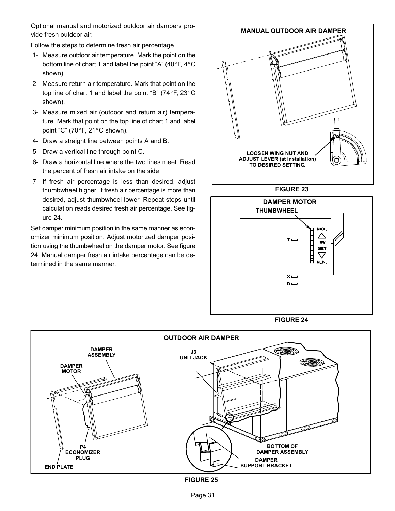<span id="page-30-0"></span>Optional manual and motorized outdoor air dampers provide fresh outdoor air.

Follow the steps to determine fresh air percentage

- 1− Measure outdoor air temperature. Mark the point on the bottom line of chart 1 and label the point "A" (40 $\degree$ F, 4 $\degree$ C shown).
- 2− Measure return air temperature. Mark that point on the top line of chart 1 and label the point "B" (74°F, 23°C shown).
- 3− Measure mixed air (outdoor and return air) temperature. Mark that point on the top line of chart 1 and label point "C" (70 $\degree$ F, 21 $\degree$ C shown).
- 4− Draw a straight line between points A and B.
- 5− Draw a vertical line through point C.
- 6− Draw a horizontal line where the two lines meet. Read the percent of fresh air intake on the side.
- 7− If fresh air percentage is less than desired, adjust thumbwheel higher. If fresh air percentage is more than desired, adjust thumbwheel lower. Repeat steps until calculation reads desired fresh air percentage. See figure 24.

Set damper minimum position in the same manner as economizer minimum position. Adjust motorized damper position using the thumbwheel on the damper motor. See figure 24. Manual damper fresh air intake percentage can be determined in the same manner.



FIGURE 23







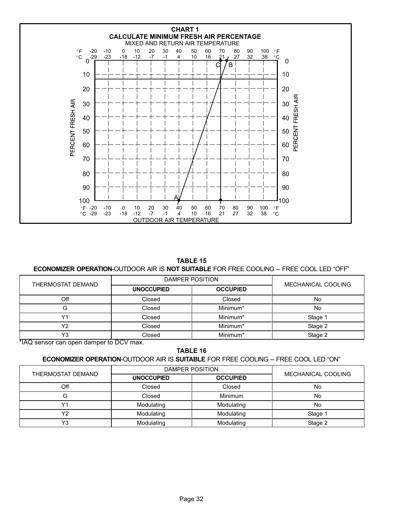<span id="page-31-0"></span>

TABLE 15

#### ECONOMIZER OPERATION-OUTDOOR AIR IS NOT SUITABLE FOR FREE COOLING -- FREE COOL LED "OFF"

| THERMOSTAT DEMAND                       |                   | DAMPER POSITION |                    |  |
|-----------------------------------------|-------------------|-----------------|--------------------|--|
|                                         | <b>UNOCCUPIED</b> | <b>OCCUPIED</b> | MECHANICAL COOLING |  |
| Off                                     | Closed            | Closed          | Νo                 |  |
|                                         | Closed            | Minimum*        | No                 |  |
| ៶៸,                                     | Closed            | Minimum*        | Stage 1            |  |
| Υ2                                      | Closed            | Minimum*        | Stage 2            |  |
| Y <sub>3</sub>                          | Closed            | Minimum*        | Stage 2            |  |
| *IAQ sensor can open damper to DCV max. |                   |                 |                    |  |

TABLE 16

#### **ECONOMIZER OPERATION-OUTDOOR AIR IS SUITABLE FOR FREE COOLING -- FREE COOL LED "ON"**

| THERMOSTAT DEMAND | DAMPER POSITION   |                 |                    |
|-------------------|-------------------|-----------------|--------------------|
|                   | <b>UNOCCUPIED</b> | <b>OCCUPIED</b> | MECHANICAL COOLING |
| Off               | Closed            | Closed          | No                 |
|                   | Closed            | Minimum         | No                 |
|                   | Modulating        | Modulating      | No                 |
| 11n               | Modulating        | Modulating      | Stage 1            |
| $\sqrt{2}$<br>ັ   | Modulating        | Modulating      | Stage 2            |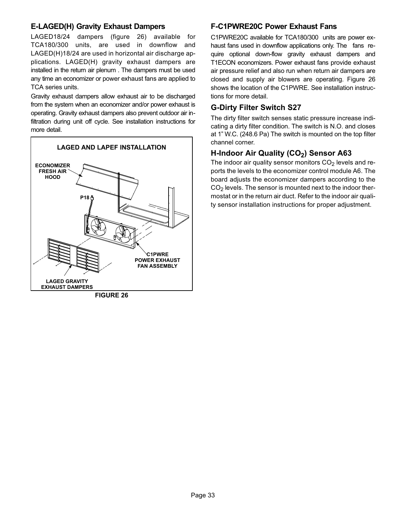### E−LAGED(H) Gravity Exhaust Dampers

LAGED18/24 dampers (figure 26) available for TCA180/300 units, are used in downflow and LAGED(H)18/24 are used in horizontal air discharge applications. LAGED(H) gravity exhaust dampers are installed in the return air plenum . The dampers must be used any time an economizer or power exhaust fans are applied to TCA series units.

Gravity exhaust dampers allow exhaust air to be discharged from the system when an economizer and/or power exhaust is operating. Gravity exhaust dampers also prevent outdoor air infiltration during unit off cycle. See installation instructions for more detail.



FIGURE 26

#### F−C1PWRE20C Power Exhaust Fans

C1PWRE20C available for TCA180/300 units are power exhaust fans used in downflow applications only. The fans require optional down-flow gravity exhaust dampers and T1ECON economizers. Power exhaust fans provide exhaust air pressure relief and also run when return air dampers are closed and supply air blowers are operating. Figure 26 shows the location of the C1PWRE. See installation instructions for more detail.

### G−Dirty Filter Switch S27

The dirty filter switch senses static pressure increase indicating a dirty filter condition. The switch is N.O. and closes at 1" W.C. (248.6 Pa) The switch is mounted on the top filter channel corner.

# H-Indoor Air Quality (CO<sub>2</sub>) Sensor A63

The indoor air quality sensor monitors  $CO<sub>2</sub>$  levels and reports the levels to the economizer control module A6. The board adjusts the economizer dampers according to the  $CO<sub>2</sub>$  levels. The sensor is mounted next to the indoor thermostat or in the return air duct. Refer to the indoor air quality sensor installation instructions for proper adjustment.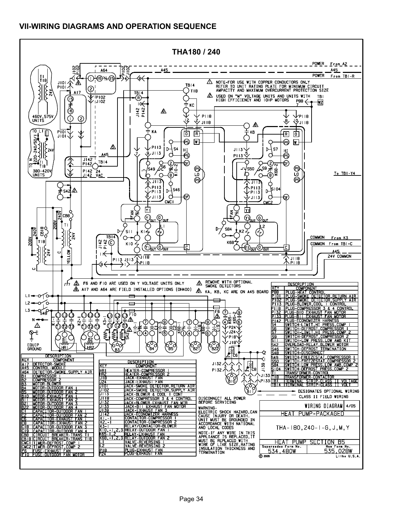# <span id="page-33-0"></span>VII−WIRING DIAGRAMS AND OPERATION SEQUENCE

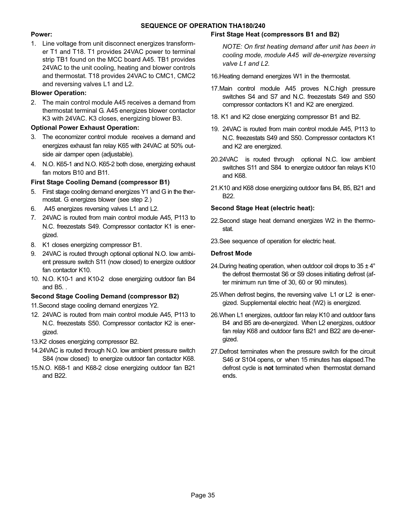#### SEQUENCE OF OPERATION THA180/240

#### Power:

1. Line voltage from unit disconnect energizes transformer T1 and T18. T1 provides 24VAC power to terminal strip TB1 found on the MCC board A45. TB1 provides 24VAC to the unit cooling, heating and blower controls and thermostat. T18 provides 24VAC to CMC1, CMC2 and reversing valves L1 and L2.

#### Blower Operation:

2. The main control module A45 receives a demand from thermostat terminal G. A45 energizes blower contactor K3 with 24VAC. K3 closes, energizing blower B3.

#### Optional Power Exhaust Operation:

- 3. The economizer control module receives a demand and energizes exhaust fan relay K65 with 24VAC at 50% outside air damper open (adjustable).
- 4. N.O. K65−1 and N.O. K65−2 both close, energizing exhaust fan motors B10 and B11.

#### First Stage Cooling Demand (compressor B1)

- 5. First stage cooling demand energizes Y1 and G in the thermostat. G energizes blower (see step 2.)
- 6. A45 energizes reversing valves L1 and L2.
- 7. 24VAC is routed from main control module A45, P113 to N.C. freezestats S49. Compressor contactor K1 is energized.
- 8. K1 closes energizing compressor B1.
- 9. 24VAC is routed through optional optional N.O. low ambient pressure switch S11 (now closed) to energize outdoor fan contactor K10.
- 10. N.O. K10−1 and K10−2 close energizing outdoor fan B4 and B5. .

#### Second Stage Cooling Demand (compressor B2)

11.Second stage cooling demand energizes Y2.

- 12. 24VAC is routed from main control module A45, P113 to N.C. freezestats S50. Compressor contactor K2 is energized.
- 13.K2 closes energizing compressor B2.
- 14.24VAC is routed through N.O. low ambient pressure switch S84 (now closed) to energize outdoor fan contactor K68.
- 15.N.O. K68−1 and K68−2 close energizing outdoor fan B21 and B22.

#### First Stage Heat (compressors B1 and B2)

NOTE: On first heating demand after unit has been in cooling mode, module A45 will de−energize reversing valve L1 and L2.

- 16.Heating demand energizes W1 in the thermostat.
- 17.Main control module A45 proves N.C.high pressure switches S4 and S7 and N.C. freezestats S49 and S50 compressor contactors K1 and K2 are energized.
- 18. K1 and K2 close energizing compressor B1 and B2.
- 19. 24VAC is routed from main control module A45, P113 to N.C. freezestats S49 and S50. Compressor contactors K1 and K2 are energized.
- 20.24VAC is routed through optional N.C. low ambient switches S11 and S84 to energize outdoor fan relays K10 and K68.
- 21.K10 and K68 close energizing outdoor fans B4, B5, B21 and B22.

#### Second Stage Heat (electric heat):

- 22.Second stage heat demand energizes W2 in the thermostat.
- 23.See sequence of operation for electric heat.

#### Defrost Mode

- 24. During heating operation, when outdoor coil drops to  $35 \pm 4^{\circ}$ the defrost thermostat S6 or S9 closes initiating defrost (after minimum run time of 30, 60 or 90 minutes).
- 25.When defrost begins, the reversing valve L1 or L2 is energized. Supplemental electric heat (W2) is energized.
- 26.When L1 energizes, outdoor fan relay K10 and outdoor fans B4 and B5 are de−energized. When L2 energizes, outdoor fan relay K68 and outdoor fans B21 and B22 are de−energized.
- 27.Defrost terminates when the pressure switch for the circuit S46 or S104 opens, or when 15 minutes has elapsed.The defrost cycle is **not** terminated when thermostat demand ends.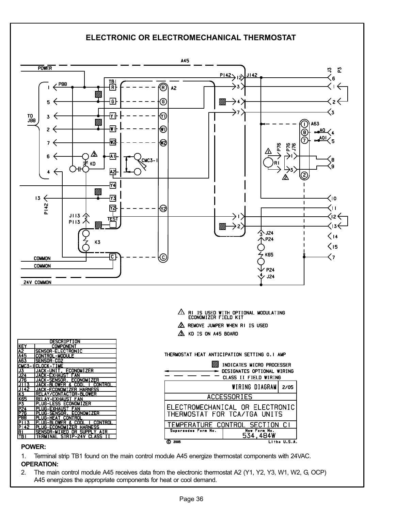# ELECTRONIC OR ELECTROMECHANICAL THERMOSTAT



OPERATION:

2. The main control module A45 receives data from the electronic thermostat A2 (Y1, Y2, Y3, W1, W2, G, OCP) A45 energizes the appropriate components for heat or cool demand.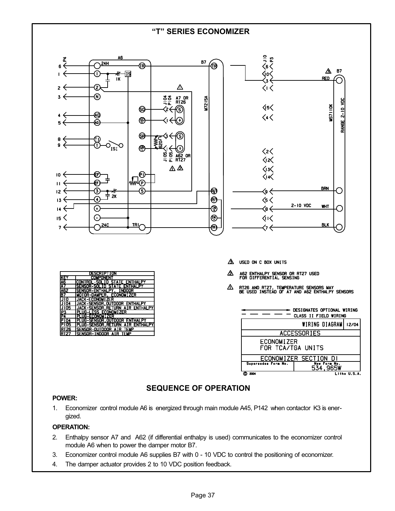#### -T" SERIES ECONOMIZER



# SEQUENCE OF OPERATION

#### POWER:

1. Economizer control module A6 is energized through main module A45, P142 when contactor K3 is energized.

#### OPERATION:

- 2. Enthalpy sensor A7 and A62 (if differential enthalpy is used) communicates to the economizer control module A6 when to power the damper motor B7.
- 3. Economizer control module A6 supplies B7 with 0 − 10 VDC to control the positioning of economizer.
- 4. The damper actuator provides 2 to 10 VDC position feedback.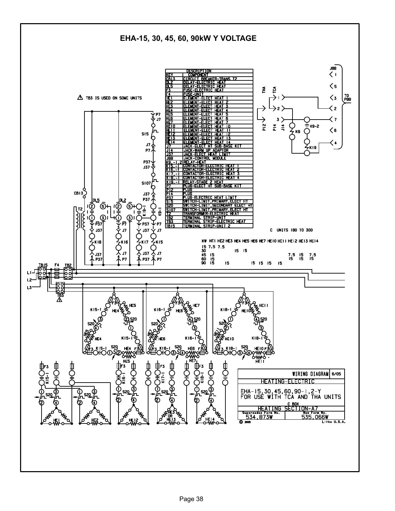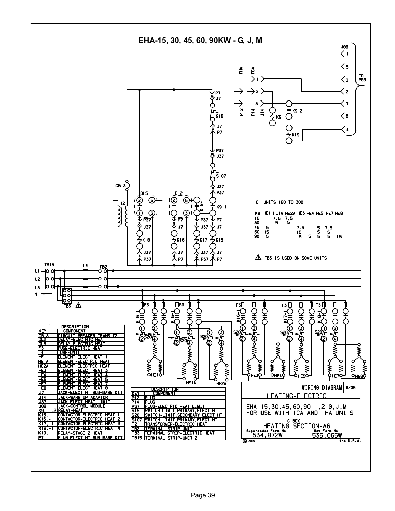